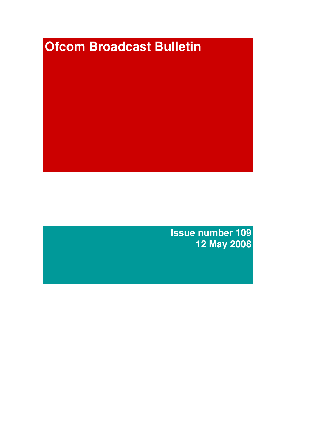# **Ofcom Broadcast Bulletin**

**Issue number 109 12 May 2008**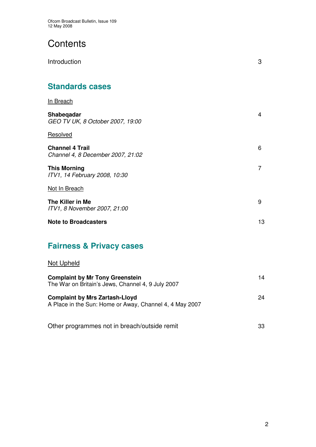# **Contents**

| Introduction                                                | 3  |
|-------------------------------------------------------------|----|
| <b>Standards cases</b>                                      |    |
| In Breach                                                   |    |
| Shabeqadar<br>GEO TV UK, 8 October 2007, 19:00              | 4  |
| Resolved                                                    |    |
| <b>Channel 4 Trail</b><br>Channel 4, 8 December 2007, 21:02 | 6  |
| <b>This Morning</b><br>ITV1, 14 February 2008, 10:30        | 7  |
| Not In Breach                                               |    |
| The Killer in Me<br>ITV1, 8 November 2007, 21:00            | 9  |
| <b>Note to Broadcasters</b>                                 | 13 |
| ---                                                         |    |

# **Fairness & Privacy cases**

# Not Upheld

| <b>Complaint by Mr Tony Greenstein</b><br>The War on Britain's Jews, Channel 4, 9 July 2007      | 14 |
|--------------------------------------------------------------------------------------------------|----|
| <b>Complaint by Mrs Zartash-Lloyd</b><br>A Place in the Sun: Home or Away, Channel 4, 4 May 2007 | 24 |
| Other programmes not in breach/outside remit                                                     | 33 |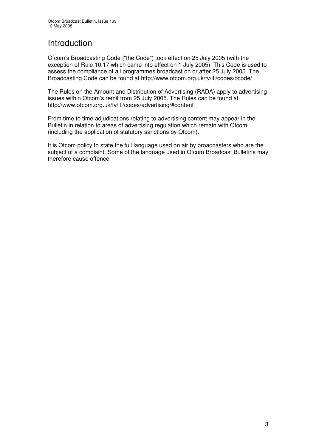# Introduction

Ofcom's Broadcasting Code ("the Code") took effect on 25 July 2005 (with the exception of Rule 10.17 which came into effect on 1 July 2005). This Code is used to assess the compliance of all programmes broadcast on or after 25 July 2005. The Broadcasting Code can be found at http://www.ofcom.org.uk/tv/ifi/codes/bcode/

The Rules on the Amount and Distribution of Advertising (RADA) apply to advertising issues within Ofcom's remit from 25 July 2005. The Rules can be found at http://www.ofcom.org.uk/tv/ifi/codes/advertising/#content

From time to time adjudications relating to advertising content may appear in the Bulletin in relation to areas of advertising regulation which remain with Ofcom (including the application of statutory sanctions by Ofcom).

It is Ofcom policy to state the full language used on air by broadcasters who are the subject of a complaint. Some of the language used in Ofcom Broadcast Bulletins may therefore cause offence.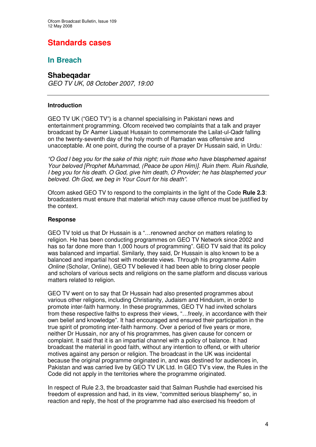# **Standards cases**

## **In Breach**

## **Shabeqadar**

*GEO TV UK, 08 October 2007, 19:00*

#### **Introduction**

GEO TV UK ("GEO TV") is a channel specialising in Pakistani news and entertainment programming. Ofcom received two complaints that a talk and prayer broadcast by Dr Aamer Liaquat Hussain to commemorate the Lailat-ul-Qadr falling on the twenty-seventh day of the holy month of Ramadan was offensive and unacceptable. At one point, during the course of a prayer Dr Hussain said, in Urdu*:*

*"O God I beg you for the sake of this night; ruin those who have blasphemed against Your beloved [Prophet Muhammad, (Peace be upon Him)]. Ruin them. Ruin Rushdie, I beg you for his death. O God, give him death, O Provider; he has blasphemed your beloved. Oh God, we beg in Your Court for his death".*

Ofcom asked GEO TV to respond to the complaints in the light of the Code **Rule 2.3**: broadcasters must ensure that material which may cause offence must be justified by the context.

#### **Response**

GEO TV told us that Dr Hussain is a "…renowned anchor on matters relating to religion. He has been conducting programmes on GEO TV Network since 2002 and has so far done more than 1,000 hours of programming". GEO TV said that its policy was balanced and impartial. Similarly, they said, Dr Hussain is also known to be a balanced and impartial host with moderate views. Through his programme *Aalim Online* (Scholar, Online), GEO TV believed it had been able to bring closer people and scholars of various sects and religions on the same platform and discuss various matters related to religion.

GEO TV went on to say that Dr Hussain had also presented programmes about various other religions, including Christianity, Judaism and Hinduism, in order to promote inter-faith harmony. In these programmes, GEO TV had invited scholars from these respective faiths to express their views, "...freely, in accordance with their own belief and knowledge". It had encouraged and ensured their participation in the true spirit of promoting inter-faith harmony. Over a period of five years or more, neither Dr Hussain, nor any of his programmes, has given cause for concern or complaint. It said that it is an impartial channel with a policy of balance. It had broadcast the material in good faith, without any intention to offend, or with ulterior motives against any person or religion. The broadcast in the UK was incidental because the original programme originated in, and was destined for audiences in, Pakistan and was carried live by GEO TV UK Ltd. In GEO TV's view, the Rules in the Code did not apply in the territories where the programme originated.

In respect of Rule 2.3, the broadcaster said that Salman Rushdie had exercised his freedom of expression and had, in its view, "committed serious blasphemy" so, in reaction and reply, the host of the programme had also exercised his freedom of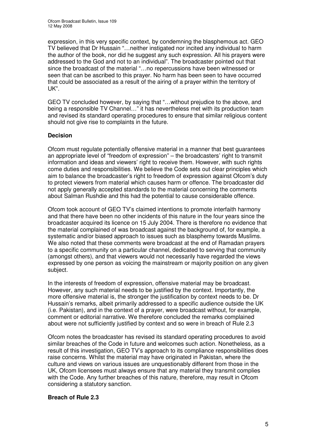expression, in this very specific context, by condemning the blasphemous act. GEO TV believed that Dr Hussain "…neither instigated nor incited any individual to harm the author of the book, nor did he suggest any such expression. All his prayers were addressed to the God and not to an individual". The broadcaster pointed out that since the broadcast of the material "…no repercussions have been witnessed or seen that can be ascribed to this prayer. No harm has been seen to have occurred that could be associated as a result of the airing of a prayer within the territory of UK".

GEO TV concluded however, by saying that "…without prejudice to the above, and being a responsible TV Channel…" it has nevertheless met with its production team and revised its standard operating procedures to ensure that similar religious content should not give rise to complaints in the future.

#### **Decision**

Ofcom must regulate potentially offensive material in a manner that best guarantees an appropriate level of "freedom of expression" – the broadcasters' right to transmit information and ideas and viewers' right to receive them. However, with such rights come duties and responsibilities. We believe the Code sets out clear principles which aim to balance the broadcaster's right to freedom of expression against Ofcom's duty to protect viewers from material which causes harm or offence. The broadcaster did not apply generally accepted standards to the material concerning the comments about Salman Rushdie and this had the potential to cause considerable offence.

Ofcom took account of GEO TV's claimed intentions to promote interfaith harmony and that there have been no other incidents of this nature in the four years since the broadcaster acquired its licence on 15 July 2004. There is therefore no evidence that the material complained of was broadcast against the background of, for example, a systematic and/or biased approach to issues such as blasphemy towards Muslims. We also noted that these comments were broadcast at the end of Ramadan prayers to a specific community on a particular channel, dedicated to serving that community (amongst others), and that viewers would not necessarily have regarded the views expressed by one person as voicing the mainstream or majority position on any given subject.

In the interests of freedom of expression, offensive material may be broadcast. However, any such material needs to be justified by the context. Importantly, the more offensive material is, the stronger the justification by context needs to be. Dr Hussain's remarks, albeit primarily addressed to a specific audience outside the UK (i.e. Pakistan), and in the context of a prayer, were broadcast without, for example, comment or editorial narrative. We therefore concluded the remarks complained about were not sufficiently justified by context and so were in breach of Rule 2.3

Ofcom notes the broadcaster has revised its standard operating procedures to avoid similar breaches of the Code in future and welcomes such action. Nonetheless, as a result of this investigation, GEO TV's approach to its compliance responsibilities does raise concerns. Whilst the material may have originated in Pakistan, where the culture and views on various issues are unquestionably different from those in the UK, Ofcom licensees must always ensure that any material they transmit complies with the Code. Any further breaches of this nature, therefore, may result in Ofcom considering a statutory sanction.

#### **Breach of Rule 2.3**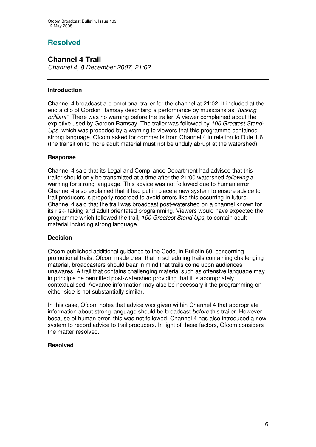# **Resolved**

## **Channel 4 Trail**

*Channel 4, 8 December 2007, 21:02*

#### **Introduction**

Channel 4 broadcast a promotional trailer for the channel at 21:02. It included at the end a clip of Gordon Ramsay describing a performance by musicians as *"fucking brilliant".* There was no warning before the trailer. A viewer complained about the expletive used by Gordon Ramsay. The trailer was followed by *100 Greatest Stand-Ups*, which was preceded by a warning to viewers that this programme contained strong language. Ofcom asked for comments from Channel 4 in relation to Rule 1.6 (the transition to more adult material must not be unduly abrupt at the watershed).

#### **Response**

Channel 4 said that its Legal and Compliance Department had advised that this trailer should only be transmitted at a time after the 21:00 watershed *following* a warning for strong language. This advice was not followed due to human error. Channel 4 also explained that it had put in place a new system to ensure advice to trail producers is properly recorded to avoid errors like this occurring in future. Channel 4 said that the trail was broadcast post-watershed on a channel known for its risk- taking and adult orientated programming. Viewers would have expected the programme which followed the trail, *100 Greatest Stand Ups*, to contain adult material including strong language.

#### **Decision**

Ofcom published additional guidance to the Code, in Bulletin 60, concerning promotional trails. Ofcom made clear that in scheduling trails containing challenging material, broadcasters should bear in mind that trails come upon audiences unawares. A trail that contains challenging material such as offensive language may in principle be permitted post-watershed providing that it is appropriately contextualised. Advance information may also be necessary if the programming on either side is not substantially similar.

In this case, Ofcom notes that advice was given within Channel 4 that appropriate information about strong language should be broadcast *before* this trailer. However, because of human error, this was not followed. Channel 4 has also introduced a new system to record advice to trail producers. In light of these factors, Ofcom considers the matter resolved.

#### **Resolved**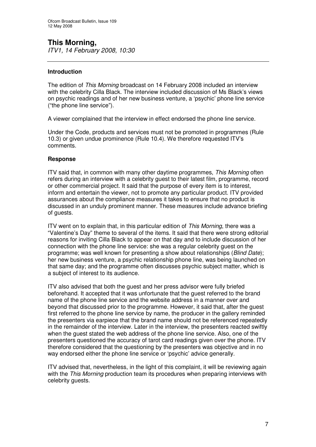# **This Morning,**

*ITV1, 14 February 2008, 10:30*

#### **Introduction**

The edition of *This Morning* broadcast on 14 February 2008 included an interview with the celebrity Cilla Black. The interview included discussion of Ms Black's views on psychic readings and of her new business venture, a 'psychic' phone line service ("the phone line service").

A viewer complained that the interview in effect endorsed the phone line service.

Under the Code, products and services must not be promoted in programmes (Rule 10.3) or given undue prominence (Rule 10.4). We therefore requested ITV's comments.

#### **Response**

ITV said that, in common with many other daytime programmes, *This Morning* often refers during an interview with a celebrity guest to their latest film, programme, record or other commercial project. It said that the purpose of every item is to interest, inform and entertain the viewer, not to promote any particular product. ITV provided assurances about the compliance measures it takes to ensure that no product is discussed in an unduly prominent manner. These measures include advance briefing of guests.

ITV went on to explain that, in this particular edition of *This Morning*, there was a "Valentine's Day" theme to several of the items. It said that there were strong editorial reasons for inviting Cilla Black to appear on that day and to include discussion of her connection with the phone line service: she was a regular celebrity guest on the programme; was well known for presenting a show about relationships (*Blind Date*); her new business venture, a psychic relationship phone line, was being launched on that same day; and the programme often discusses psychic subject matter, which is a subject of interest to its audience.

ITV also advised that both the guest and her press advisor were fully briefed beforehand. It accepted that it was unfortunate that the guest referred to the brand name of the phone line service and the website address in a manner over and beyond that discussed prior to the programme. However, it said that, after the guest first referred to the phone line service by name, the producer in the gallery reminded the presenters via earpiece that the brand name should not be referenced repeatedly in the remainder of the interview. Later in the interview, the presenters reacted swiftly when the guest stated the web address of the phone line service. Also, one of the presenters questioned the accuracy of tarot card readings given over the phone. ITV therefore considered that the questioning by the presenters was objective and in no way endorsed either the phone line service or 'psychic' advice generally.

ITV advised that, nevertheless, in the light of this complaint, it will be reviewing again with the *This Morning* production team its procedures when preparing interviews with celebrity guests.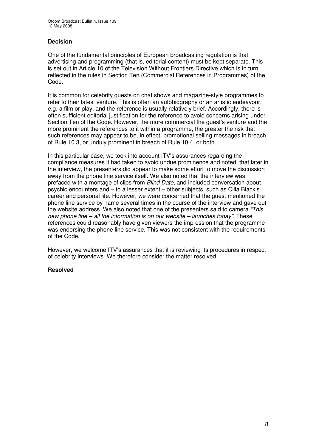#### **Decision**

One of the fundamental principles of European broadcasting regulation is that advertising and programming (that is, editorial content) must be kept separate. This is set out in Article 10 of the Television Without Frontiers Directive which is in turn reflected in the rules in Section Ten (Commercial References in Programmes) of the Code.

It is common for celebrity guests on chat shows and magazine-style programmes to refer to their latest venture. This is often an autobiography or an artistic endeavour, e.g. a film or play, and the reference is usually relatively brief. Accordingly, there is often sufficient editorial justification for the reference to avoid concerns arising under Section Ten of the Code. However, the more commercial the guest's venture and the more prominent the references to it within a programme, the greater the risk that such references may appear to be, in effect, promotional selling messages in breach of Rule 10.3, or unduly prominent in breach of Rule 10.4, or both.

In this particular case, we took into account ITV's assurances regarding the compliance measures it had taken to avoid undue prominence and noted, that later in the interview, the presenters did appear to make some effort to move the discussion away from the phone line service itself. We also noted that the interview was prefaced with a montage of clips from *Blind Date*, and included conversation about psychic encounters and – to a lesser extent – other subjects, such as Cilla Black's career and personal life. However, we were concerned that the guest mentioned the phone line service by name several times in the course of the interview and gave out the website address. We also noted that one of the presenters said to camera *"This new phone line – all the information is on our website – launches today"*. These references could reasonably have given viewers the impression that the programme was endorsing the phone line service. This was not consistent with the requirements of the Code.

However, we welcome ITV's assurances that it is reviewing its procedures in respect of celebrity interviews. We therefore consider the matter resolved.

#### **Resolved**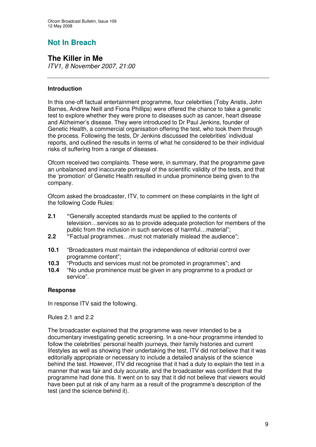# **Not In Breach**

## **The Killer in Me**

*ITV1, 8 November 2007, 21:00*

#### **Introduction**

In this one-off factual entertainment programme, four celebrities (Toby Anstis, John Barnes, Andrew Neill and Fiona Phillips) were offered the chance to take a genetic test to explore whether they were prone to diseases such as cancer, heart disease and Alzheimer's disease. They were introduced to Dr Paul Jenkins, founder of Genetic Health, a commercial organisation offering the test, who took them through the process. Following the tests, Dr Jenkins discussed the celebrities' individual reports, and outlined the results in terms of what he considered to be their individual risks of suffering from a range of diseases.

Ofcom received two complaints. These were, in summary, that the programme gave an unbalanced and inaccurate portrayal of the scientific validity of the tests, and that the 'promotion' of Genetic Health resulted in undue prominence being given to the company.

Ofcom asked the broadcaster, ITV, to comment on these complaints in the light of the following Code Rules:

- **2.1 "**Generally accepted standards must be applied to the contents of television…services so as to provide adequate protection for members of the public from the inclusion in such services of harmful…material";
- **2.2 "**Factual programmes…must not materially mislead the audience";
- **10.1** "Broadcasters must maintain the independence of editorial control over programme content";
- **10.3** "Products and services must not be promoted in programmes"; and
- **10.4** "No undue prominence must be given in any programme to a product or service".

#### **Response**

In response ITV said the following.

Rules 2.1 and 2.2

The broadcaster explained that the programme was never intended to be a documentary investigating genetic screening. In a one-hour programme intended to follow the celebrities' personal health journeys, their family histories and current lifestyles as well as showing their undertaking the test, ITV did not believe that it was editorially appropriate or necessary to include a detailed analysis of the science behind the test. However, ITV did recognise that it had a duty to explain the test in a manner that was fair and duly accurate, and the broadcaster was confident that the programme had done this. It went on to say that it did not believe that viewers would have been put at risk of any harm as a result of the programme's description of the test (and the science behind it).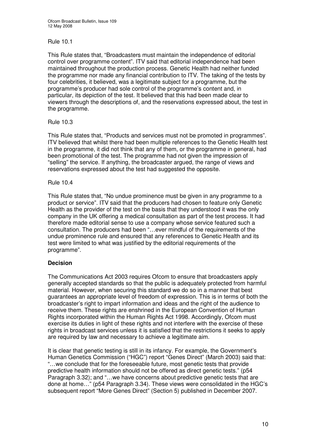#### Rule 10.1

This Rule states that, "Broadcasters must maintain the independence of editorial control over programme content". ITV said that editorial independence had been maintained throughout the production process. Genetic Health had neither funded the programme nor made any financial contribution to ITV. The taking of the tests by four celebrities, it believed, was a legitimate subject for a programme, but the programme's producer had sole control of the programme's content and, in particular, its depiction of the test. It believed that this had been made clear to viewers through the descriptions of, and the reservations expressed about, the test in the programme.

#### Rule 10.3

This Rule states that, "Products and services must not be promoted in programmes". ITV believed that whilst there had been multiple references to the Genetic Health test in the programme, it did not think that any of them, or the programme in general, had been promotional of the test. The programme had not given the impression of "selling" the service. If anything, the broadcaster argued, the range of views and reservations expressed about the test had suggested the opposite.

#### Rule 10.4

This Rule states that, "No undue prominence must be given in any programme to a product or service". ITV said that the producers had chosen to feature only Genetic Health as the provider of the test on the basis that they understood it was the only company in the UK offering a medical consultation as part of the test process. It had therefore made editorial sense to use a company whose service featured such a consultation. The producers had been "…ever mindful of the requirements of the undue prominence rule and ensured that any references to Genetic Health and its test were limited to what was justified by the editorial requirements of the programme".

#### **Decision**

The Communications Act 2003 requires Ofcom to ensure that broadcasters apply generally accepted standards so that the public is adequately protected from harmful material. However, when securing this standard we do so in a manner that best guarantees an appropriate level of freedom of expression. This is in terms of both the broadcaster's right to impart information and ideas and the right of the audience to receive them. These rights are enshrined in the European Convention of Human Rights incorporated within the Human Rights Act 1998. Accordingly, Ofcom must exercise its duties in light of these rights and not interfere with the exercise of these rights in broadcast services unless it is satisfied that the restrictions it seeks to apply are required by law and necessary to achieve a legitimate aim.

It is clear that genetic testing is still in its infancy. For example, the Government's Human Genetics Commission ("HGC") report "Genes Direct" (March 2003) said that: "…we conclude that for the foreseeable future, most genetic tests that provide predictive health information should not be offered as direct genetic tests." (p54 Paragraph 3.32); and "…we have concerns about predictive genetic tests that are done at home…" (p54 Paragraph 3.34). These views were consolidated in the HGC's subsequent report "More Genes Direct" (Section 5) published in December 2007.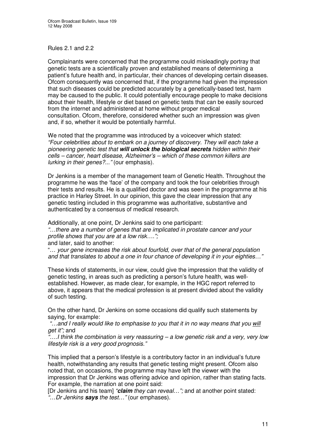Rules 2.1 and 2.2

Complainants were concerned that the programme could misleadingly portray that genetic tests are a scientifically proven and established means of determining a patient's future health and, in particular, their chances of developing certain diseases. Ofcom consequently was concerned that, if the programme had given the impression that such diseases could be predicted accurately by a genetically-based test, harm may be caused to the public. It could potentially encourage people to make decisions about their health, lifestyle or diet based on genetic tests that can be easily sourced from the internet and administered at home without proper medical consultation. Ofcom, therefore, considered whether such an impression was given and, if so, whether it would be potentially harmful.

We noted that the programme was introduced by a voiceover which stated: *"Four celebrities about to embark on a journey of discovery. They will each take a pioneering genetic test that will unlock the biological secrets hidden within their cells – cancer, heart disease, Alzheimer's – which of these common killers are lurking in their genes?..."* (our emphasis).

Dr Jenkins is a member of the management team of Genetic Health. Throughout the programme he was the 'face' of the company and took the four celebrities through their tests and results. He is a qualified doctor and was seen in the programme at his practice in Harley Street. In our opinion, this gave the clear impression that any genetic testing included in this programme was authoritative, substantive and authenticated by a consensus of medical research.

Additionally, at one point, Dr Jenkins said to one participant: *"…there are a number of genes that are implicated in prostate cancer and your profile shows that you are at a low risk….";* and later, said to another:

"… *your gene increases the risk about fourfold, over that of the general population and that translates to about a one in four chance of developing it in your eighties…"*

These kinds of statements, in our view, could give the impression that the validity of genetic testing, in areas such as predicting a person's future health, was wellestablished. However, as made clear, for example, in the HGC report referred to above, it appears that the medical profession is at present divided about the validity of such testing.

On the other hand, Dr Jenkins on some occasions did qualify such statements by saying, for example:

*"…and I really would like to emphasise to you that it in no way means that you will get it";* and

*"….I think the combination is very reassuring – a low genetic risk and a very, very low lifestyle risk is a very good prognosis."*

This implied that a person's lifestyle is a contributory factor in an individual's future health, notwithstanding any results that genetic testing might present. Ofcom also noted that, on occasions, the programme may have left the viewer with the impression that Dr Jenkins was offering advice and opinion, rather than stating facts. For example, the narration at one point said:

[Dr Jenkins and his team] *"claim they can reveal…";* and at another point stated: *"*…*Dr Jenkins says the test…"* (our emphases).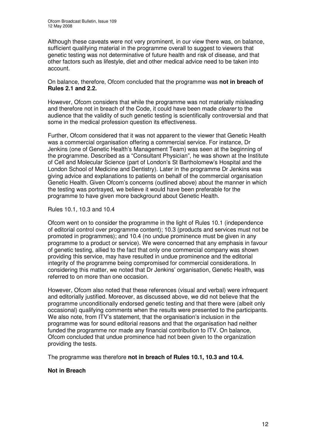Although these caveats were not very prominent, in our view there was, on balance, sufficient qualifying material in the programme overall to suggest to viewers that genetic testing was not determinative of future health and risk of disease, and that other factors such as lifestyle, diet and other medical advice need to be taken into account.

On balance, therefore, Ofcom concluded that the programme was **not in breach of Rules 2.1 and 2.2.**

However, Ofcom considers that while the programme was not materially misleading and therefore not in breach of the Code, it could have been made *clearer* to the audience that the validity of such genetic testing is scientifically controversial and that some in the medical profession question its effectiveness.

Further, Ofcom considered that it was not apparent to the viewer that Genetic Health was a commercial organisation offering a commercial service. For instance, Dr Jenkins (one of Genetic Health's Management Team) was seen at the beginning of the programme. Described as a "Consultant Physician", he was shown at the Institute of Cell and Molecular Science (part of London's St Bartholomew's Hospital and the London School of Medicine and Dentistry). Later in the programme Dr Jenkins was giving advice and explanations to patients on behalf of the commercial organisation Genetic Health. Given Ofcom's concerns (outlined above) about the manner in which the testing was portrayed, we believe it would have been preferable for the programme to have given more background about Genetic Health.

Rules 10.1, 10.3 and 10.4

Ofcom went on to consider the programme in the light of Rules 10.1 (independence of editorial control over programme content); 10.3 (products and services must not be promoted in programmes); and 10.4 (no undue prominence must be given in any programme to a product or service). We were concerned that any emphasis in favour of genetic testing, allied to the fact that only one commercial company was shown providing this service, may have resulted in undue prominence and the editorial integrity of the programme being compromised for commercial considerations. In considering this matter, we noted that Dr Jenkins' organisation, Genetic Health, was referred to on more than one occasion.

However, Ofcom also noted that these references (visual and verbal) were infrequent and editorially justified. Moreover, as discussed above, we did not believe that the programme unconditionally endorsed genetic testing and that there were (albeit only occasional) qualifying comments when the results were presented to the participants. We also note, from ITV's statement, that the organisation's inclusion in the programme was for sound editorial reasons and that the organisation had neither funded the programme nor made any financial contribution to ITV. On balance, Ofcom concluded that undue prominence had not been given to the organization providing the tests.

The programme was therefore **not in breach of Rules 10.1, 10.3 and 10.4.**

#### **Not in Breach**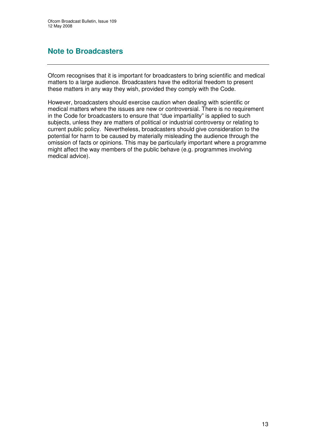## **Note to Broadcasters**

Ofcom recognises that it is important for broadcasters to bring scientific and medical matters to a large audience. Broadcasters have the editorial freedom to present these matters in any way they wish, provided they comply with the Code.

However, broadcasters should exercise caution when dealing with scientific or medical matters where the issues are new or controversial. There is no requirement in the Code for broadcasters to ensure that "due impartiality" is applied to such subjects, unless they are matters of political or industrial controversy or relating to current public policy. Nevertheless, broadcasters should give consideration to the potential for harm to be caused by materially misleading the audience through the omission of facts or opinions. This may be particularly important where a programme might affect the way members of the public behave (e.g. programmes involving medical advice).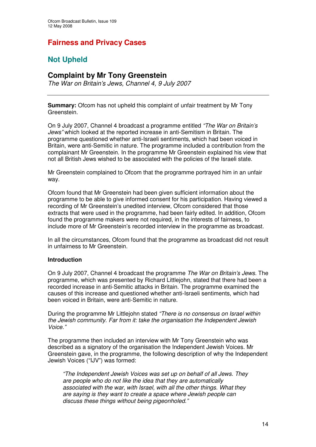## **Fairness and Privacy Cases**

## **Not Upheld**

## **Complaint by Mr Tony Greenstein**

*The War on Britain's Jews, Channel 4, 9 July 2007*

**Summary:** Ofcom has not upheld this complaint of unfair treatment by Mr Tony Greenstein.

On 9 July 2007, Channel 4 broadcast a programme entitled *"The War on Britain's Jews"* which looked at the reported increase in anti-Semitism in Britain. The programme questioned whether anti-Israeli sentiments, which had been voiced in Britain, were anti-Semitic in nature. The programme included a contribution from the complainant Mr Greenstein. In the programme Mr Greenstein explained his view that not all British Jews wished to be associated with the policies of the Israeli state.

Mr Greenstein complained to Ofcom that the programme portrayed him in an unfair way.

Ofcom found that Mr Greenstein had been given sufficient information about the programme to be able to give informed consent for his participation. Having viewed a recording of Mr Greenstein's unedited interview, Ofcom considered that those extracts that were used in the programme, had been fairly edited. In addition, Ofcom found the programme makers were not required, in the interests of fairness, to include more of Mr Greenstein's recorded interview in the programme as broadcast.

In all the circumstances, Ofcom found that the programme as broadcast did not result in unfairness to Mr Greenstein.

#### **Introduction**

On 9 July 2007, Channel 4 broadcast the programme *The War on Britain's Jews*. The programme, which was presented by Richard Littlejohn, stated that there had been a recorded increase in anti-Semitic attacks in Britain. The programme examined the causes of this increase and questioned whether anti-Israeli sentiments, which had been voiced in Britain, were anti-Semitic in nature.

During the programme Mr Littlejohn stated *"There is no consensus on Israel within the Jewish community. Far from it: take the organisation the Independent Jewish Voice."*

The programme then included an interview with Mr Tony Greenstein who was described as a signatory of the organisation the Independent Jewish Voices. Mr Greenstein gave, in the programme, the following description of why the Independent Jewish Voices ("IJV") was formed:

*"The Independent Jewish Voices was set up on behalf of all Jews. They are people who do not like the idea that they are automatically associated with the war, with Israel, with all the other things. What they are saying is they want to create a space where Jewish people can discuss these things without being pigeonholed."*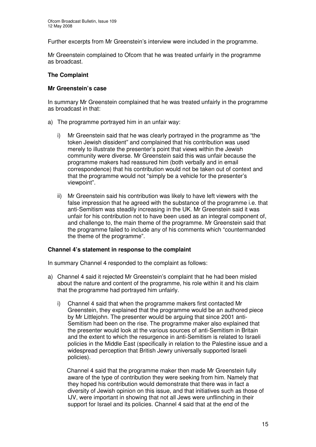Further excerpts from Mr Greenstein's interview were included in the programme.

Mr Greenstein complained to Ofcom that he was treated unfairly in the programme as broadcast.

#### **The Complaint**

#### **Mr Greenstein's case**

In summary Mr Greenstein complained that he was treated unfairly in the programme as broadcast in that:

- a) The programme portrayed him in an unfair way:
	- i) Mr Greenstein said that he was clearly portrayed in the programme as "the token Jewish dissident" and complained that his contribution was used merely to illustrate the presenter's point that views within the Jewish community were diverse. Mr Greenstein said this was unfair because the programme makers had reassured him (both verbally and in email correspondence) that his contribution would not be taken out of context and that the programme would not "simply be a vehicle for the presenter's viewpoint".
	- ii) Mr Greenstein said his contribution was likely to have left viewers with the false impression that he agreed with the substance of the programme i.e. that anti-Semitism was steadily increasing in the UK. Mr Greenstein said it was unfair for his contribution not to have been used as an integral component of, and challenge to, the main theme of the programme. Mr Greenstein said that the programme failed to include any of his comments which "countermanded the theme of the programme".

#### **Channel 4's statement in response to the complaint**

In summary Channel 4 responded to the complaint as follows:

- a) Channel 4 said it rejected Mr Greenstein's complaint that he had been misled about the nature and content of the programme, his role within it and his claim that the programme had portrayed him unfairly.
	- i) Channel 4 said that when the programme makers first contacted Mr Greenstein, they explained that the programme would be an authored piece by Mr Littlejohn. The presenter would be arguing that since 2001 anti-Semitism had been on the rise. The programme maker also explained that the presenter would look at the various sources of anti-Semitism in Britain and the extent to which the resurgence in anti-Semitism is related to Israeli policies in the Middle East (specifically in relation to the Palestine issue and a widespread perception that British Jewry universally supported Israeli policies).

Channel 4 said that the programme maker then made Mr Greenstein fully aware of the type of contribution they were seeking from him. Namely that they hoped his contribution would demonstrate that there was in fact a diversity of Jewish opinion on this issue, and that initiatives such as those of IJV, were important in showing that not all Jews were unflinching in their support for Israel and its policies. Channel 4 said that at the end of the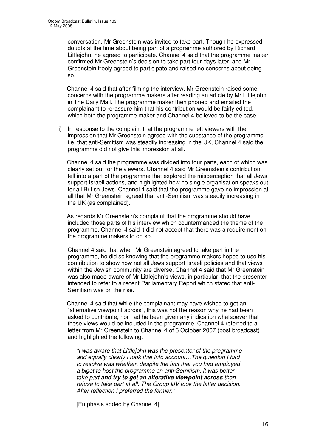conversation, Mr Greenstein was invited to take part. Though he expressed doubts at the time about being part of a programme authored by Richard Littlejohn, he agreed to participate. Channel 4 said that the programme maker confirmed Mr Greenstein's decision to take part four days later, and Mr Greenstein freely agreed to participate and raised no concerns about doing so.

Channel 4 said that after filming the interview, Mr Greenstein raised some concerns with the programme makers after reading an article by Mr Littlejohn in The Daily Mail. The programme maker then phoned and emailed the complainant to re-assure him that his contribution would be fairly edited, which both the programme maker and Channel 4 believed to be the case.

ii) In response to the complaint that the programme left viewers with the impression that Mr Greenstein agreed with the substance of the programme i.e. that anti-Semitism was steadily increasing in the UK, Channel 4 said the programme did not give this impression at all.

Channel 4 said the programme was divided into four parts, each of which was clearly set out for the viewers. Channel 4 said Mr Greenstein's contribution fell into a part of the programme that explored the misperception that all Jews support Israeli actions, and highlighted how no single organisation speaks out for all British Jews. Channel 4 said that the programme gave no impression at all that Mr Greenstein agreed that anti-Semitism was steadily increasing in the UK (as complained).

As regards Mr Greenstein's complaint that the programme should have included those parts of his interview which countermanded the theme of the programme, Channel 4 said it did not accept that there was a requirement on the programme makers to do so.

Channel 4 said that when Mr Greenstein agreed to take part in the programme, he did so knowing that the programme makers hoped to use his contribution to show how not all Jews support Israeli policies and that views within the Jewish community are diverse. Channel 4 said that Mr Greenstein was also made aware of Mr Littlejohn's views, in particular, that the presenter intended to refer to a recent Parliamentary Report which stated that anti-Semitism was on the rise.

Channel 4 said that while the complainant may have wished to get an "alternative viewpoint across", this was not the reason why he had been asked to contribute, nor had he been given any indication whatsoever that these views would be included in the programme. Channel 4 referred to a letter from Mr Greenstein to Channel 4 of 5 October 2007 (post broadcast) and highlighted the following:

*"I was aware that Littlejohn was the presenter of the programme and equally clearly I took that into account…The question I had to resolve was whether, despite the fact that you had employed a bigot to host the programme on anti-Semitism, it was better take part and try to get an alterative viewpoint across than refuse to take part at all. The Group IJV took the latter decision. After reflection I preferred the former."*

[Emphasis added by Channel 4]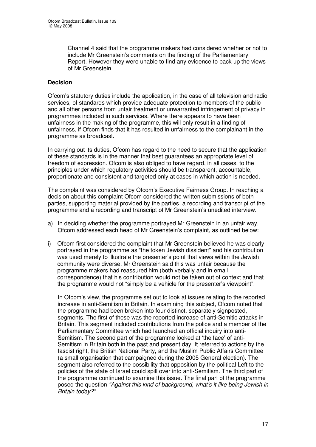Channel 4 said that the programme makers had considered whether or not to include Mr Greenstein's comments on the finding of the Parliamentary Report. However they were unable to find any evidence to back up the views of Mr Greenstein.

#### **Decision**

Ofcom's statutory duties include the application, in the case of all television and radio services, of standards which provide adequate protection to members of the public and all other persons from unfair treatment or unwarranted infringement of privacy in programmes included in such services. Where there appears to have been unfairness in the making of the programme, this will only result in a finding of unfairness, if Ofcom finds that it has resulted in unfairness to the complainant in the programme as broadcast.

In carrying out its duties, Ofcom has regard to the need to secure that the application of these standards is in the manner that best guarantees an appropriate level of freedom of expression. Ofcom is also obliged to have regard, in all cases, to the principles under which regulatory activities should be transparent, accountable, proportionate and consistent and targeted only at cases in which action is needed.

The complaint was considered by Ofcom's Executive Fairness Group. In reaching a decision about this complaint Ofcom considered the written submissions of both parties, supporting material provided by the parties, a recording and transcript of the programme and a recording and transcript of Mr Greenstein's unedited interview.

- a) In deciding whether the programme portrayed Mr Greenstein in an unfair way, Ofcom addressed each head of Mr Greenstein's complaint, as outlined below:
- i) Ofcom first considered the complaint that Mr Greenstein believed he was clearly portrayed in the programme as "the token Jewish dissident" and his contribution was used merely to illustrate the presenter's point that views within the Jewish community were diverse. Mr Greenstein said this was unfair because the programme makers had reassured him (both verbally and in email correspondence) that his contribution would not be taken out of context and that the programme would not "simply be a vehicle for the presenter's viewpoint".

In Ofcom's view, the programme set out to look at issues relating to the reported increase in anti-Semitism in Britain. In examining this subject, Ofcom noted that the programme had been broken into four distinct, separately signposted, segments. The first of these was the reported increase of anti-Semitic attacks in Britain. This segment included contributions from the police and a member of the Parliamentary Committee which had launched an official inquiry into anti-Semitism. The second part of the programme looked at 'the face' of anti-Semitism in Britain both in the past and present day. It referred to actions by the fascist right, the British National Party, and the Muslim Public Affairs Committee (a small organisation that campaigned during the 2005 General election). The segment also referred to the possibility that opposition by the political Left to the policies of the state of Israel could spill over into anti-Semitism. The third part of the programme continued to examine this issue. The final part of the programme posed the question *"Against this kind of background, what's it like being Jewish in Britain today?"*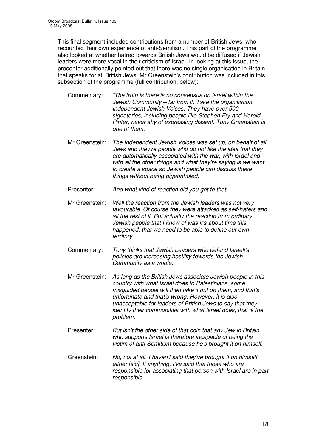This final segment included contributions from a number of British Jews, who recounted their own experience of anti-Semitism. This part of the programme also looked at whether hatred towards British Jews would be diffused if Jewish leaders were more vocal in their criticism of Israel. In looking at this issue, the presenter additionally pointed out that there was no single organisation in Britain that speaks for all British Jews. Mr Greenstein's contribution was included in this subsection of the programme (full contribution, below):

Commentary: *"The truth is there is no consensus on Israel within the Jewish Community – far from it. Take the organisation, Independent Jewish Voices. They have over 500 signatories, including people like Stephen Fry and Harold Pinter, never shy of expressing dissent. Tony Greenstein is one of them.*

- Mr Greenstein: *The Independent Jewish Voices was set up, on behalf of all Jews and they're people who do not like the idea that they are automatically associated with the war, with Israel and with all the other things and what they're saying is we want to create a space so Jewish people can discuss these things without being pigeonholed.*
- Presenter: *And what kind of reaction did you get to that*
- Mr Greenstein: *Well the reaction from the Jewish leaders was not very favourable. Of course they were attacked as self-haters and all the rest of it. But actually the reaction from ordinary Jewish people that I know of was it's about time this happened, that we need to be able to define our own territory.*
- Commentary: *Tony thinks that Jewish Leaders who defend Israeli's policies are increasing hostility towards the Jewish Community as a whole.*
- Mr Greenstein: *As long as the British Jews associate Jewish people in this country with what Israel does to Palestinians, some misguided people will then take it out on them, and that's unfortunate and that's wrong. However, it is also unacceptable for leaders of British Jews to say that they identity their communities with what Israel does, that is the problem.*
- Presenter: *But isn't the other side of that coin that any Jew in Britain who supports Israel is therefore incapable of being the victim of anti-Semitism because he's brought it on himself.*
- Greenstein: *No, not at all. I haven't said they've brought it on himself either [sic]. If anything, I've said that those who are responsible for associating that person with Israel are in part responsible.*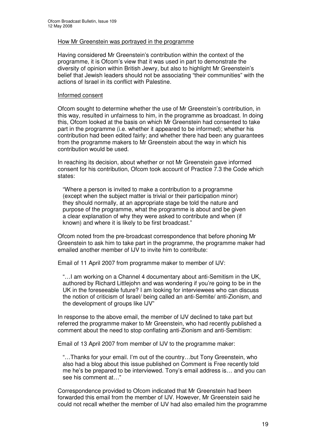#### How Mr Greenstein was portrayed in the programme

Having considered Mr Greenstein's contribution within the context of the programme, it is Ofcom's view that it was used in part to demonstrate the diversity of opinion within British Jewry, but also to highlight Mr Greenstein's belief that Jewish leaders should not be associating "their communities" with the actions of Israel in its conflict with Palestine.

#### Informed consent

Ofcom sought to determine whether the use of Mr Greenstein's contribution, in this way, resulted in unfairness to him, in the programme as broadcast. In doing this, Ofcom looked at the basis on which Mr Greenstein had consented to take part in the programme (i.e. whether it appeared to be informed); whether his contribution had been edited fairly; and whether there had been any guarantees from the programme makers to Mr Greenstein about the way in which his contribution would be used.

In reaching its decision, about whether or not Mr Greenstein gave informed consent for his contribution, Ofcom took account of Practice 7.3 the Code which states:

"Where a person is invited to make a contribution to a programme (except when the subject matter is trivial or their participation minor) they should normally, at an appropriate stage be told the nature and purpose of the programme, what the programme is about and be given a clear explanation of why they were asked to contribute and when (if known) and where it is likely to be first broadcast."

Ofcom noted from the pre-broadcast correspondence that before phoning Mr Greenstein to ask him to take part in the programme, the programme maker had emailed another member of IJV to invite him to contribute:

Email of 11 April 2007 from programme maker to member of IJV:

"…I am working on a Channel 4 documentary about anti-Semitism in the UK, authored by Richard Littlejohn and was wondering if you're going to be in the UK in the foreseeable future? I am looking for interviewees who can discuss the notion of criticism of Israel/ being called an anti-Semite/ anti-Zionism, and the development of groups like IJV"

In response to the above email, the member of IJV declined to take part but referred the programme maker to Mr Greenstein, who had recently published a comment about the need to stop conflating anti-Zionism and anti-Semitism:

Email of 13 April 2007 from member of IJV to the programme maker:

"…Thanks for your email. I'm out of the country…but Tony Greenstein, who also had a blog about this issue published on Comment is Free recently told me he's be prepared to be interviewed. Tony's email address is… and you can see his comment at…"

Correspondence provided to Ofcom indicated that Mr Greenstein had been forwarded this email from the member of IJV. However, Mr Greenstein said he could not recall whether the member of IJV had also emailed him the programme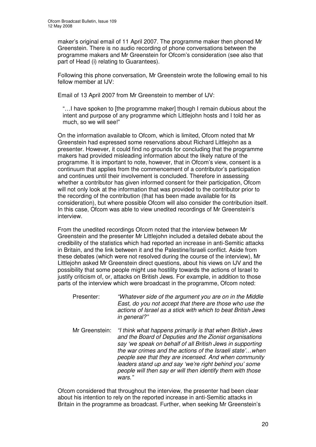maker's original email of 11 April 2007. The programme maker then phoned Mr Greenstein. There is no audio recording of phone conversations between the programme makers and Mr Greenstein for Ofcom's consideration (see also that part of Head (i) relating to Guarantees).

Following this phone conversation, Mr Greenstein wrote the following email to his fellow member at IJV:

Email of 13 April 2007 from Mr Greenstein to member of IJV:

"…I have spoken to [the programme maker] though I remain dubious about the intent and purpose of any programme which Littlejohn hosts and I told her as much, so we will see!"

On the information available to Ofcom, which is limited, Ofcom noted that Mr Greenstein had expressed some reservations about Richard Littlejohn as a presenter. However, it could find no grounds for concluding that the programme makers had provided misleading information about the likely nature of the programme. It is important to note, however, that in Ofcom's view, consent is a continuum that applies from the commencement of a contributor's participation and continues until their involvement is concluded. Therefore in assessing whether a contributor has given informed consent for their participation, Ofcom will not only look at the information that was provided to the contributor prior to the recording of the contribution (that has been made available for its consideration), but where possible Ofcom will also consider the contribution itself. In this case, Ofcom was able to view unedited recordings of Mr Greenstein's interview.

From the unedited recordings Ofcom noted that the interview between Mr Greenstein and the presenter Mr Littlejohn included a detailed debate about the credibility of the statistics which had reported an increase in anti-Semitic attacks in Britain, and the link between it and the Palestine/Israeli conflict. Aside from these debates (which were not resolved during the course of the interview), Mr Littlejohn asked Mr Greenstein direct questions, about his views on IJV and the possibility that some people might use hostility towards the actions of Israel to justify criticism of, or, attacks on British Jews. For example, in addition to those parts of the interview which were broadcast in the programme, Ofcom noted:

- Presenter: *"Whatever side of the argument you are on in the Middle East, do you not accept that there are those who use the actions of Israel as a stick with which to beat British Jews in general?"*
- Mr Greenstein: *"I think what happens primarily is that when British Jews and the Board of Deputies and the Zionist organisations say 'we speak on behalf of all British Jews in supporting the war crimes and the actions of the Israeli state'…when people see that they are incensed. And when community leaders stand up and say 'we're right behind you' some people will then say er will then identify them with those wars."*

Ofcom considered that throughout the interview, the presenter had been clear about his intention to rely on the reported increase in anti-Semitic attacks in Britain in the programme as broadcast. Further, when seeking Mr Greenstein's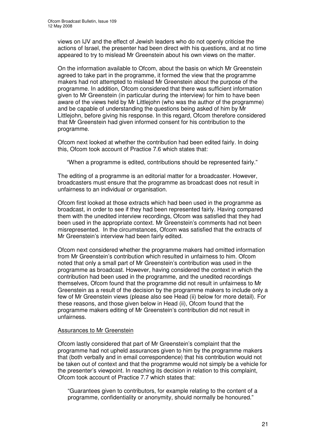views on IJV and the effect of Jewish leaders who do not openly criticise the actions of Israel, the presenter had been direct with his questions, and at no time appeared to try to mislead Mr Greenstein about his own views on the matter.

On the information available to Ofcom, about the basis on which Mr Greenstein agreed to take part in the programme, it formed the view that the programme makers had not attempted to mislead Mr Greenstein about the purpose of the programme. In addition, Ofcom considered that there was sufficient information given to Mr Greenstein (in particular during the interview) for him to have been aware of the views held by Mr Littlejohn (who was the author of the programme) and be capable of understanding the questions being asked of him by Mr Littlejohn, before giving his response. In this regard, Ofcom therefore considered that Mr Greenstein had given informed consent for his contribution to the programme.

Ofcom next looked at whether the contribution had been edited fairly. In doing this, Ofcom took account of Practice 7.6 which states that:

"When a programme is edited, contributions should be represented fairly."

The editing of a programme is an editorial matter for a broadcaster. However, broadcasters must ensure that the programme as broadcast does not result in unfairness to an individual or organisation.

Ofcom first looked at those extracts which had been used in the programme as broadcast, in order to see if they had been represented fairly. Having compared them with the unedited interview recordings, Ofcom was satisfied that they had been used in the appropriate context. Mr Greenstein's comments had not been misrepresented. In the circumstances, Ofcom was satisfied that the extracts of Mr Greenstein's interview had been fairly edited.

Ofcom next considered whether the programme makers had omitted information from Mr Greenstein's contribution which resulted in unfairness to him. Ofcom noted that only a small part of Mr Greenstein's contribution was used in the programme as broadcast. However, having considered the context in which the contribution had been used in the programme, and the unedited recordings themselves, Ofcom found that the programme did not result in unfairness to Mr Greenstein as a result of the decision by the programme makers to include only a few of Mr Greenstein views (please also see Head (ii) below for more detail). For these reasons, and those given below in Head (ii), Ofcom found that the programme makers editing of Mr Greenstein's contribution did not result in unfairness.

#### Assurances to Mr Greenstein

Ofcom lastly considered that part of Mr Greenstein's complaint that the programme had not upheld assurances given to him by the programme makers that (both verbally and in email correspondence) that his contribution would not be taken out of context and that the programme would not simply be a vehicle for the presenter's viewpoint. In reaching its decision in relation to this complaint, Ofcom took account of Practice 7.7 which states that:

"Guarantees given to contributors, for example relating to the content of a programme, confidentiality or anonymity, should normally be honoured."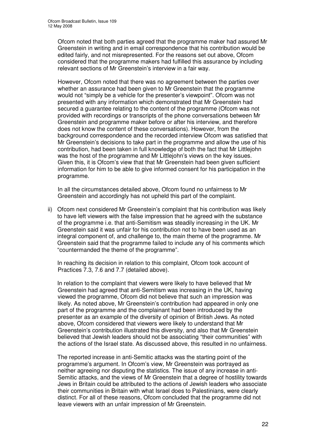Ofcom noted that both parties agreed that the programme maker had assured Mr Greenstein in writing and in email correspondence that his contribution would be edited fairly, and not misrepresented. For the reasons set out above, Ofcom considered that the programme makers had fulfilled this assurance by including relevant sections of Mr Greenstein's interview in a fair way.

However, Ofcom noted that there was no agreement between the parties over whether an assurance had been given to Mr Greenstein that the programme would not "simply be a vehicle for the presenter's viewpoint". Ofcom was not presented with any information which demonstrated that Mr Greenstein had secured a guarantee relating to the content of the programme (Ofcom was not provided with recordings or transcripts of the phone conversations between Mr Greenstein and programme maker before or after his interview, and therefore does not know the content of these conversations). However, from the background correspondence and the recorded interview Ofcom was satisfied that Mr Greenstein's decisions to take part in the programme and allow the use of his contribution, had been taken in full knowledge of both the fact that Mr Littlejohn was the host of the programme and Mr Littlejohn's views on the key issues. Given this, it is Ofcom's view that that Mr Greenstein had been given sufficient information for him to be able to give informed consent for his participation in the programme.

In all the circumstances detailed above, Ofcom found no unfairness to Mr Greenstein and accordingly has not upheld this part of the complaint.

ii) Ofcom next considered Mr Greenstein's complaint that his contribution was likely to have left viewers with the false impression that he agreed with the substance of the programme i.e. that anti-Semitism was steadily increasing in the UK. Mr Greenstein said it was unfair for his contribution not to have been used as an integral component of, and challenge to, the main theme of the programme. Mr Greenstein said that the programme failed to include any of his comments which "countermanded the theme of the programme".

In reaching its decision in relation to this complaint, Ofcom took account of Practices 7.3, 7.6 and 7.7 (detailed above).

In relation to the complaint that viewers were likely to have believed that Mr Greenstein had agreed that anti-Semitism was increasing in the UK, having viewed the programme, Ofcom did not believe that such an impression was likely. As noted above, Mr Greenstein's contribution had appeared in only one part of the programme and the complainant had been introduced by the presenter as an example of the diversity of opinion of British Jews. As noted above, Ofcom considered that viewers were likely to understand that Mr Greenstein's contribution illustrated this diversity, and also that Mr Greenstein believed that Jewish leaders should not be associating "their communities" with the actions of the Israel state. As discussed above, this resulted in no unfairness.

The reported increase in anti-Semitic attacks was the starting point of the programme's argument. In Ofcom's view, Mr Greenstein was portrayed as neither agreeing nor disputing the statistics. The issue of any increase in anti-Semitic attacks, and the views of Mr Greenstein that a degree of hostility towards Jews in Britain could be attributed to the actions of Jewish leaders who associate their communities in Britain with what Israel does to Palestinians, were clearly distinct. For all of these reasons, Ofcom concluded that the programme did not leave viewers with an unfair impression of Mr Greenstein.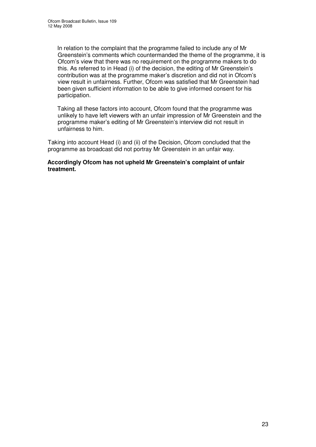In relation to the complaint that the programme failed to include any of Mr Greenstein's comments which countermanded the theme of the programme, it is Ofcom's view that there was no requirement on the programme makers to do this. As referred to in Head (i) of the decision, the editing of Mr Greenstein's contribution was at the programme maker's discretion and did not in Ofcom's view result in unfairness. Further, Ofcom was satisfied that Mr Greenstein had been given sufficient information to be able to give informed consent for his participation.

Taking all these factors into account, Ofcom found that the programme was unlikely to have left viewers with an unfair impression of Mr Greenstein and the programme maker's editing of Mr Greenstein's interview did not result in unfairness to him.

Taking into account Head (i) and (ii) of the Decision, Ofcom concluded that the programme as broadcast did not portray Mr Greenstein in an unfair way.

#### **Accordingly Ofcom has not upheld Mr Greenstein's complaint of unfair treatment.**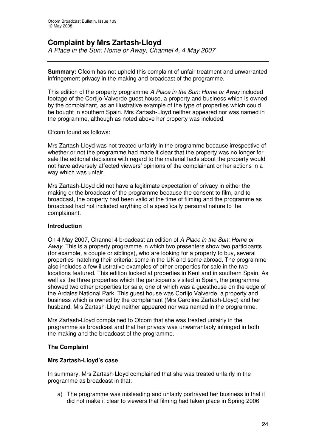## **Complaint by Mrs Zartash-Lloyd**

*A Place in the Sun: Home or Away, Channel 4, 4 May 2007*

**Summary:** Ofcom has not upheld this complaint of unfair treatment and unwarranted infringement privacy in the making and broadcast of the programme.

This edition of the property programme *A Place in the Sun: Home or Away* included footage of the Cortijo-Valverde guest house, a property and business which is owned by the complainant, as an illustrative example of the type of properties which could be bought in southern Spain. Mrs Zartash-Lloyd neither appeared nor was named in the programme, although as noted above her property was included.

Ofcom found as follows:

Mrs Zartash-Lloyd was not treated unfairly in the programme because irrespective of whether or not the programme had made it clear that the property was no longer for sale the editorial decisions with regard to the material facts about the property would not have adversely affected viewers' opinions of the complainant or her actions in a way which was unfair.

Mrs Zartash-Lloyd did not have a legitimate expectation of privacy in either the making or the broadcast of the programme because the consent to film, and to broadcast, the property had been valid at the time of filming and the programme as broadcast had not included anything of a specifically personal nature to the complainant.

#### **Introduction**

On 4 May 2007, Channel 4 broadcast an edition of *A Place in the Sun: Home or Away*. This is a property programme in which two presenters show two participants (for example, a couple or siblings), who are looking for a property to buy, several properties matching their criteria: some in the UK and some abroad. The programme also includes a few illustrative examples of other properties for sale in the two locations featured. This edition looked at properties in Kent and in southern Spain. As well as the three properties which the participants visited in Spain, the programme showed two other properties for sale, one of which was a guesthouse on the edge of the Ardales National Park. This guest house was Cortijo Valverde, a property and business which is owned by the complainant (Mrs Caroline Zartash-Lloyd) and her husband. Mrs Zartash-Lloyd neither appeared nor was named in the programme.

Mrs Zartash-Lloyd complained to Ofcom that she was treated unfairly in the programme as broadcast and that her privacy was unwarrantably infringed in both the making and the broadcast of the programme.

#### **The Complaint**

#### **Mrs Zartash-Lloyd's case**

In summary, Mrs Zartash-Lloyd complained that she was treated unfairly in the programme as broadcast in that:

a) The programme was misleading and unfairly portrayed her business in that it did not make it clear to viewers that filming had taken place in Spring 2006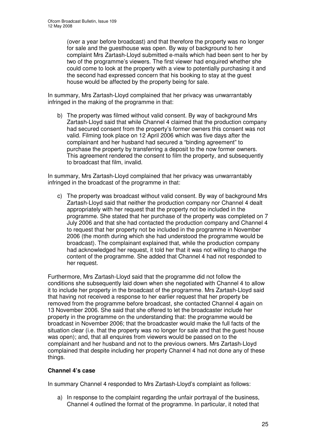(over a year before broadcast) and that therefore the property was no longer for sale and the guesthouse was open. By way of background to her complaint Mrs Zartash-Lloyd submitted e-mails which had been sent to her by two of the programme's viewers. The first viewer had enquired whether she could come to look at the property with a view to potentially purchasing it and the second had expressed concern that his booking to stay at the guest house would be affected by the property being for sale.

In summary, Mrs Zartash-Lloyd complained that her privacy was unwarrantably infringed in the making of the programme in that:

b) The property was filmed without valid consent. By way of background Mrs Zartash-Lloyd said that while Channel 4 claimed that the production company had secured consent from the property's former owners this consent was not valid. Filming took place on 12 April 2006 which was five days after the complainant and her husband had secured a "binding agreement" to purchase the property by transferring a deposit to the now former owners. This agreement rendered the consent to film the property, and subsequently to broadcast that film, invalid.

In summary, Mrs Zartash-Lloyd complained that her privacy was unwarrantably infringed in the broadcast of the programme in that:

c) The property was broadcast without valid consent. By way of background Mrs Zartash-Lloyd said that neither the production company nor Channel 4 dealt appropriately with her request that the property not be included in the programme. She stated that her purchase of the property was completed on 7 July 2006 and that she had contacted the production company and Channel 4 to request that her property not be included in the programme in November 2006 (the month during which she had understood the programme would be broadcast). The complainant explained that, while the production company had acknowledged her request, it told her that it was not willing to change the content of the programme. She added that Channel 4 had not responded to her request.

Furthermore, Mrs Zartash-Lloyd said that the programme did not follow the conditions she subsequently laid down when she negotiated with Channel 4 to allow it to include her property in the broadcast of the programme. Mrs Zartash-Lloyd said that having not received a response to her earlier request that her property be removed from the programme before broadcast, she contacted Channel 4 again on 13 November 2006. She said that she offered to let the broadcaster include her property in the programme on the understanding that: the programme would be broadcast in November 2006; that the broadcaster would make the full facts of the situation clear (i.e. that the property was no longer for sale and that the guest house was open); and, that all enquires from viewers would be passed on to the complainant and her husband and not to the previous owners. Mrs Zartash-Lloyd complained that despite including her property Channel 4 had not done any of these things.

#### **Channel 4's case**

In summary Channel 4 responded to Mrs Zartash-Lloyd's complaint as follows:

a) In response to the complaint regarding the unfair portrayal of the business, Channel 4 outlined the format of the programme. In particular, it noted that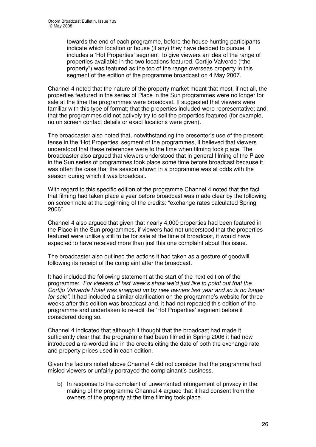towards the end of each programme, before the house hunting participants indicate which location or house (if any) they have decided to pursue, it includes a 'Hot Properties' segment to give viewers an idea of the range of properties available in the two locations featured. Cortijo Valverde ("the property") was featured as the top of the range overseas property in this segment of the edition of the programme broadcast on 4 May 2007.

Channel 4 noted that the nature of the property market meant that most, if not all, the properties featured in the series of Place in the Sun programmes were no longer for sale at the time the programmes were broadcast. It suggested that viewers were familiar with this type of format; that the properties included were representative; and, that the programmes did not actively try to sell the properties featured (for example, no on screen contact details or exact locations were given).

The broadcaster also noted that, notwithstanding the presenter's use of the present tense in the 'Hot Properties' segment of the programmes, it believed that viewers understood that these references were to the time when filming took place. The broadcaster also argued that viewers understood that in general filming of the Place in the Sun series of programmes took place some time before broadcast because it was often the case that the season shown in a programme was at odds with the season during which it was broadcast.

With regard to this specific edition of the programme Channel 4 noted that the fact that filming had taken place a year before broadcast was made clear by the following on screen note at the beginning of the credits: "exchange rates calculated Spring 2006".

Channel 4 also argued that given that nearly 4,000 properties had been featured in the Place in the Sun programmes, if viewers had not understood that the properties featured were unlikely still to be for sale at the time of broadcast, it would have expected to have received more than just this one complaint about this issue.

The broadcaster also outlined the actions it had taken as a gesture of goodwill following its receipt of the complaint after the broadcast.

It had included the following statement at the start of the next edition of the programme: *"For viewers of last week's show we'd just like to point out that the Cortijo Valverde Hotel was snapped up by new owners last year and so is no longer for sale".* It had included a similar clarification on the programme's website for three weeks after this edition was broadcast and, it had not repeated this edition of the programme and undertaken to re-edit the 'Hot Properties' segment before it considered doing so.

Channel 4 indicated that although it thought that the broadcast had made it sufficiently clear that the programme had been filmed in Spring 2006 it had now introduced a re-worded line in the credits citing the date of both the exchange rate and property prices used in each edition.

Given the factors noted above Channel 4 did not consider that the programme had misled viewers or unfairly portrayed the complainant's business.

b) In response to the complaint of unwarranted infringement of privacy in the making of the programme Channel 4 argued that it had consent from the owners of the property at the time filming took place.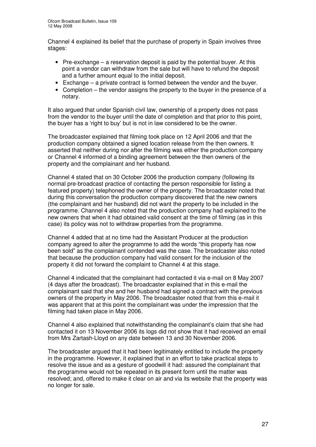Channel 4 explained its belief that the purchase of property in Spain involves three stages:

- Pre-exchange a reservation deposit is paid by the potential buyer. At this point a vendor can withdraw from the sale but will have to refund the deposit and a further amount equal to the initial deposit.
- Exchange a private contract is formed between the vendor and the buyer.
- Completion the vendor assigns the property to the buyer in the presence of a notary.

It also argued that under Spanish civil law, ownership of a property does not pass from the vendor to the buyer until the date of completion and that prior to this point, the buyer has a 'right to buy' but is not in law considered to be the owner.

The broadcaster explained that filming took place on 12 April 2006 and that the production company obtained a signed location release from the then owners. It asserted that neither during nor after the filming was either the production company or Channel 4 informed of a binding agreement between the then owners of the property and the complainant and her husband.

Channel 4 stated that on 30 October 2006 the production company (following its normal pre-broadcast practice of contacting the person responsible for listing a featured property) telephoned the owner of the property. The broadcaster noted that during this conversation the production company discovered that the new owners (the complainant and her husband) did not want the property to be included in the programme. Channel 4 also noted that the production company had explained to the new owners that when it had obtained valid consent at the time of filming (as in this case) its policy was not to withdraw properties from the programme.

Channel 4 added that at no time had the Assistant Producer at the production company agreed to alter the programme to add the words "this property has now been sold" as the complainant contended was the case. The broadcaster also noted that because the production company had valid consent for the inclusion of the property it did not forward the complaint to Channel 4 at this stage.

Channel 4 indicated that the complainant had contacted it via e-mail on 8 May 2007 (4 days after the broadcast). The broadcaster explained that in this e-mail the complainant said that she and her husband had signed a contract with the previous owners of the property in May 2006. The broadcaster noted that from this e-mail it was apparent that at this point the complainant was under the impression that the filming had taken place in May 2006.

Channel 4 also explained that notwithstanding the complainant's claim that she had contacted it on 13 November 2006 its logs did not show that it had received an email from Mrs Zartash-Lloyd on any date between 13 and 30 November 2006.

The broadcaster argued that it had been legitimately entitled to include the property in the programme. However, it explained that in an effort to take practical steps to resolve the issue and as a gesture of goodwill it had: assured the complainant that the programme would not be repeated in its present form until the matter was resolved; and, offered to make it clear on air and via its website that the property was no longer for sale.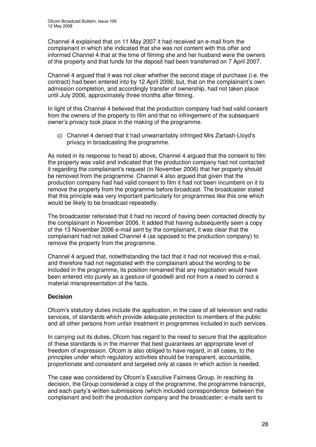Channel 4 explained that on 11 May 2007 it had received an e-mail from the complainant in which she indicated that she was not content with this offer and informed Channel 4 that at the time of filming she and her husband were the owners of the property and that funds for the deposit had been transferred on 7 April 2007.

Channel 4 argued that it was not clear whether the second stage of purchase (i.e. the contract) had been entered into by 12 April 2006; but, that on the complainant's own admission completion, and accordingly transfer of ownership, had not taken place until July 2006, approximately three months after filming.

In light of this Channel 4 believed that the production company had had valid consent from the owners of the property to film and that no infringement of the subsequent owner's privacy took place in the making of the programme.

c) Channel 4 denied that it had unwarrantably infringed Mrs Zartash-Lloyd's privacy in broadcasting the programme.

As noted in its response to head b) above, Channel 4 argued that the consent to film the property was valid and indicated that the production company had not contacted it regarding the complainant's request (in November 2006) that her property should be removed from the programme. Channel 4 also argued that given that the production company had had valid consent to film it had not been incumbent on it to remove the property from the programme before broadcast. The broadcaster stated that this principle was very important particularly for programmes like this one which would be likely to be broadcast repeatedly.

The broadcaster reiterated that it had no record of having been contacted directly by the complainant in November 2006. It added that having subsequently seen a copy of the 13 November 2006 e-mail sent by the complainant, it was clear that the complainant had not asked Channel 4 (as opposed to the production company) to remove the property from the programme.

Channel 4 argued that, notwithstanding the fact that it had not received this e-mail, and therefore had not negotiated with the complainant about the wording to be included in the programme, its position remained that any negotiation would have been entered into purely as a gesture of goodwill and not from a need to correct a material misrepresentation of the facts.

#### **Decision**

Ofcom's statutory duties include the application, in the case of all television and radio services, of standards which provide adequate protection to members of the public and all other persons from unfair treatment in programmes included in such services.

In carrying out its duties, Ofcom has regard to the need to secure that the application of these standards is in the manner that best guarantees an appropriate level of freedom of expression. Ofcom is also obliged to have regard, in all cases, to the principles under which regulatory activities should be transparent, accountable, proportionate and consistent and targeted only at cases in which action is needed.

The case was considered by Ofcom's Executive Fairness Group. In reaching its decision, the Group considered a copy of the programme, the programme transcript, and each party's written submissions (which included correspondence between the complainant and both the production company and the broadcaster; e-mails sent to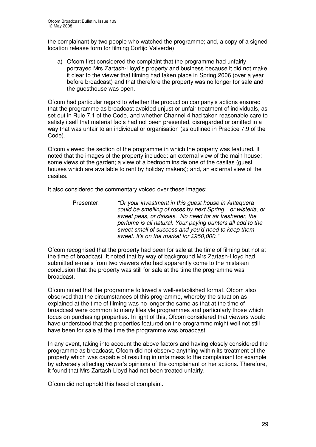the complainant by two people who watched the programme; and, a copy of a signed location release form for filming Cortijo Valverde).

a) Ofcom first considered the complaint that the programme had unfairly portrayed Mrs Zartash-Lloyd's property and business because it did not make it clear to the viewer that filming had taken place in Spring 2006 (over a year before broadcast) and that therefore the property was no longer for sale and the guesthouse was open.

Ofcom had particular regard to whether the production company's actions ensured that the programme as broadcast avoided unjust or unfair treatment of individuals, as set out in Rule 7.1 of the Code, and whether Channel 4 had taken reasonable care to satisfy itself that material facts had not been presented, disregarded or omitted in a way that was unfair to an individual or organisation (as outlined in Practice 7.9 of the Code).

Ofcom viewed the section of the programme in which the property was featured. It noted that the images of the property included: an external view of the main house; some views of the garden; a view of a bedroom inside one of the casitas (guest houses which are available to rent by holiday makers); and, an external view of the casitas.

It also considered the commentary voiced over these images:

Presenter: *"Or your investment in this guest house in Antequera could be smelling of roses by next Spring…or wisteria, or sweet peas, or daisies. No need for air freshener, the perfume is all natural. Your paying punters all add to the sweet smell of success and you'd need to keep them sweet. It's on the market for £950,000."*

Ofcom recognised that the property had been for sale at the time of filming but not at the time of broadcast. It noted that by way of background Mrs Zartash-Lloyd had submitted e-mails from two viewers who had apparently come to the mistaken conclusion that the property was still for sale at the time the programme was broadcast.

Ofcom noted that the programme followed a well-established format. Ofcom also observed that the circumstances of this programme, whereby the situation as explained at the time of filming was no longer the same as that at the time of broadcast were common to many lifestyle programmes and particularly those which focus on purchasing properties. In light of this, Ofcom considered that viewers would have understood that the properties featured on the programme might well not still have been for sale at the time the programme was broadcast.

In any event, taking into account the above factors and having closely considered the programme as broadcast, Ofcom did not observe anything within its treatment of the property which was capable of resulting in unfairness to the complainant for example by adversely affecting viewer's opinions of the complainant or her actions. Therefore, it found that Mrs Zartash-Lloyd had not been treated unfairly.

Ofcom did not uphold this head of complaint.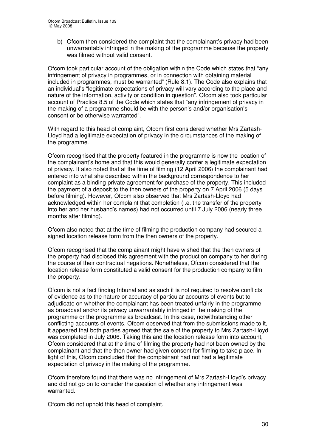b) Ofcom then considered the complaint that the complainant's privacy had been unwarrantably infringed in the making of the programme because the property was filmed without valid consent.

Ofcom took particular account of the obligation within the Code which states that "any infringement of privacy in programmes, or in connection with obtaining material included in programmes, must be warranted" (Rule 8.1). The Code also explains that an individual's "legitimate expectations of privacy will vary according to the place and nature of the information, activity or condition in question". Ofcom also took particular account of Practice 8.5 of the Code which states that "any infringement of privacy in the making of a programme should be with the person's and/or organisation's consent or be otherwise warranted".

With regard to this head of complaint, Ofcom first considered whether Mrs Zartash-Lloyd had a legitimate expectation of privacy in the circumstances of the making of the programme.

Ofcom recognised that the property featured in the programme is now the location of the complainant's home and that this would generally confer a legitimate expectation of privacy. It also noted that at the time of filming (12 April 2006) the complainant had entered into what she described within the background correspondence to her complaint as a binding private agreement for purchase of the property. This included the payment of a deposit to the then owners of the property on 7 April 2006 (5 days before filming). However, Ofcom also observed that Mrs Zartash-Lloyd had acknowledged within her complaint that completion (i.e. the transfer of the property into her and her husband's names) had not occurred until 7 July 2006 (nearly three months after filming).

Ofcom also noted that at the time of filming the production company had secured a signed location release form from the then owners of the property.

Ofcom recognised that the complainant might have wished that the then owners of the property had disclosed this agreement with the production company to her during the course of their contractual negations. Nonetheless, Ofcom considered that the location release form constituted a valid consent for the production company to film the property.

Ofcom is not a fact finding tribunal and as such it is not required to resolve conflicts of evidence as to the nature or accuracy of particular accounts of events but to adjudicate on whether the complainant has been treated unfairly in the programme as broadcast and/or its privacy unwarrantably infringed in the making of the programme or the programme as broadcast. In this case, notwithstanding other conflicting accounts of events, Ofcom observed that from the submissions made to it, it appeared that both parties agreed that the sale of the property to Mrs Zartash-Lloyd was completed in July 2006. Taking this and the location release form into account, Ofcom considered that at the time of filming the property had not been owned by the complainant and that the then owner had given consent for filming to take place. In light of this, Ofcom concluded that the complainant had not had a legitimate expectation of privacy in the making of the programme.

Ofcom therefore found that there was no infringement of Mrs Zartash-Lloyd's privacy and did not go on to consider the question of whether any infringement was warranted.

Ofcom did not uphold this head of complaint.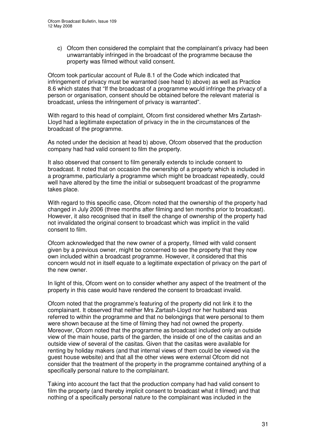c) Ofcom then considered the complaint that the complainant's privacy had been unwarrantably infringed in the broadcast of the programme because the property was filmed without valid consent.

Ofcom took particular account of Rule 8.1 of the Code which indicated that infringement of privacy must be warranted (see head b) above) as well as Practice 8.6 which states that "If the broadcast of a programme would infringe the privacy of a person or organisation, consent should be obtained before the relevant material is broadcast, unless the infringement of privacy is warranted".

With regard to this head of complaint, Ofcom first considered whether Mrs Zartash-Lloyd had a legitimate expectation of privacy in the in the circumstances of the broadcast of the programme.

As noted under the decision at head b) above, Ofcom observed that the production company had had valid consent to film the property.

It also observed that consent to film generally extends to include consent to broadcast. It noted that on occasion the ownership of a property which is included in a programme, particularly a programme which might be broadcast repeatedly, could well have altered by the time the initial or subsequent broadcast of the programme takes place.

With regard to this specific case, Ofcom noted that the ownership of the property had changed in July 2006 (three months after filming and ten months prior to broadcast). However, it also recognised that in itself the change of ownership of the property had not invalidated the original consent to broadcast which was implicit in the valid consent to film.

Ofcom acknowledged that the new owner of a property, filmed with valid consent given by a previous owner, might be concerned to see the property that they now own included within a broadcast programme. However, it considered that this concern would not in itself equate to a legitimate expectation of privacy on the part of the new owner.

In light of this, Ofcom went on to consider whether any aspect of the treatment of the property in this case would have rendered the consent to broadcast invalid.

Ofcom noted that the programme's featuring of the property did not link it to the complainant. It observed that neither Mrs Zartash-Lloyd nor her husband was referred to within the programme and that no belongings that were personal to them were shown because at the time of filming they had not owned the property. Moreover, Ofcom noted that the programme as broadcast included only an outside view of the main house, parts of the garden, the inside of one of the casitas and an outside view of several of the casitas. Given that the casitas were available for renting by holiday makers (and that internal views of them could be viewed via the guest house website) and that all the other views were external Ofcom did not consider that the treatment of the property in the programme contained anything of a specifically personal nature to the complainant.

Taking into account the fact that the production company had had valid consent to film the property (and thereby implicit consent to broadcast what it filmed) and that nothing of a specifically personal nature to the complainant was included in the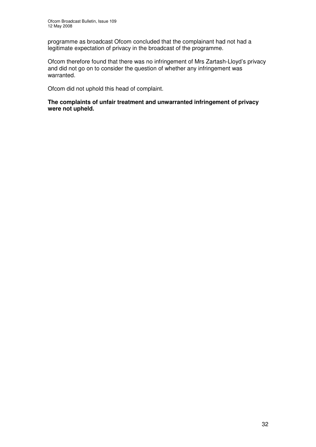programme as broadcast Ofcom concluded that the complainant had not had a legitimate expectation of privacy in the broadcast of the programme.

Ofcom therefore found that there was no infringement of Mrs Zartash-Lloyd's privacy and did not go on to consider the question of whether any infringement was warranted.

Ofcom did not uphold this head of complaint.

**The complaints of unfair treatment and unwarranted infringement of privacy were not upheld.**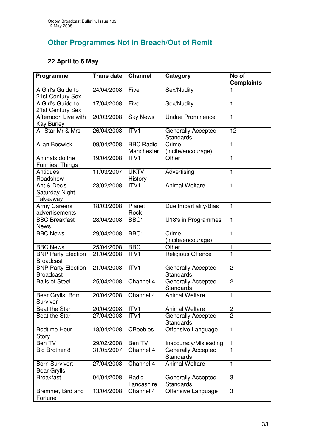# **Other Programmes Not in Breach/Out of Remit**

## **22 April to 6 May**

| Programme                                     | <b>Trans date</b> | <b>Channel</b>                 | Category                               | No of<br><b>Complaints</b> |
|-----------------------------------------------|-------------------|--------------------------------|----------------------------------------|----------------------------|
| A Girl's Guide to<br>21st Century Sex         | 24/04/2008        | Five                           | Sex/Nudity                             |                            |
| A Girl's Guide to<br>21st Century Sex         | 17/04/2008        | Five                           | Sex/Nudity                             | 1                          |
| Afternoon Live with<br>Kay Burley             | 20/03/2008        | <b>Sky News</b>                | <b>Undue Prominence</b>                | 1                          |
| All Star Mr & Mrs                             | 26/04/2008        | ITV1                           | <b>Generally Accepted</b><br>Standards | 12                         |
| <b>Allan Beswick</b>                          | 09/04/2008        | <b>BBC Radio</b><br>Manchester | Crime<br>(incite/encourage)            | 1                          |
| Animals do the<br><b>Funniest Things</b>      | 19/04/2008        | ITV1                           | Other                                  | 1                          |
| Antiques<br>Roadshow                          | 11/03/2007        | <b>UKTV</b><br>History         | Advertising                            | 1                          |
| Ant & Dec's<br>Saturday Night<br>Takeaway     | 23/02/2008        | ITV <sub>1</sub>               | <b>Animal Welfare</b>                  | 1                          |
| <b>Army Careers</b><br>advertisements         | 18/03/2008        | Planet<br>Rock                 | Due Impartiality/Bias                  | 1                          |
| <b>BBC Breakfast</b><br><b>News</b>           | 28/04/2008        | BBC1                           | U18's in Programmes                    | 1                          |
| <b>BBC News</b>                               | 29/04/2008        | BBC1                           | Crime<br>(incite/encourage)            | $\mathbf{1}$               |
| <b>BBC News</b>                               | 25/04/2008        | BBC1                           | Other                                  | 1                          |
| <b>BNP Party Election</b><br><b>Broadcast</b> | 21/04/2008        | ITV1                           | Religious Offence                      | 1                          |
| <b>BNP Party Election</b><br><b>Broadcast</b> | 21/04/2008        | ITV1                           | Generally Accepted<br>Standards        | $\overline{2}$             |
| <b>Balls of Steel</b>                         | 25/04/2008        | Channel 4                      | <b>Generally Accepted</b><br>Standards | $\overline{2}$             |
| Bear Grylls: Born<br>Survivor                 | 20/04/2008        | Channel 4                      | <b>Animal Welfare</b>                  | 1                          |
| Beat the Star                                 | 20/04/2008        | ITV <sub>1</sub>               | <b>Animal Welfare</b>                  | 2                          |
| Beat the Star                                 | 27/04/2008        | ITV <sub>1</sub>               | <b>Generally Accepted</b><br>Standards | 2                          |
| <b>Bedtime Hour</b><br><b>Story</b>           | 18/04/2008        | <b>CBeebies</b>                | Offensive Language                     | 1                          |
| Ben TV                                        | 29/02/2008        | Ben TV                         | Inaccuracy/Misleading                  | 1                          |
| Big Brother 8                                 | 31/05/2007        | Channel 4                      | <b>Generally Accepted</b><br>Standards | 1                          |
| Born Survivor:<br><b>Bear Grylls</b>          | 27/04/2008        | Channel 4                      | <b>Animal Welfare</b>                  | 1                          |
| <b>Breakfast</b>                              | 04/04/2008        | Radio<br>Lancashire            | <b>Generally Accepted</b><br>Standards | 3                          |
| Bremner, Bird and<br>Fortune                  | 13/04/2008        | Channel 4                      | Offensive Language                     | 3                          |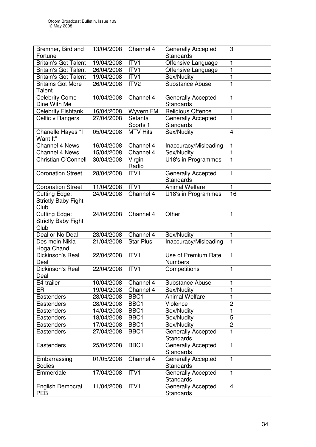| Bremner, Bird and                                          | 13/04/2008 | Channel 4           | <b>Generally Accepted</b>                     | 3                       |
|------------------------------------------------------------|------------|---------------------|-----------------------------------------------|-------------------------|
| Fortune                                                    |            |                     | <b>Standards</b>                              |                         |
| <b>Britain's Got Talent</b>                                | 19/04/2008 | ITV1                | Offensive Language                            | 1                       |
| <b>Britain's Got Talent</b>                                | 26/04/2008 | ITVI                | Offensive Language                            | 1                       |
| <b>Britain's Got Talent</b>                                | 19/04/2008 | ITV1                | Sex/Nudity                                    | 1                       |
| <b>Britains Got More</b><br>Talent                         | 26/04/2008 | ITV <sub>2</sub>    | <b>Substance Abuse</b>                        | ī                       |
| <b>Celebrity Come</b><br>Dine With Me                      | 10/04/2008 | Channel 4           | <b>Generally Accepted</b><br>Standards        | 1                       |
| <b>Celebrity Fishtank</b>                                  | 16/04/2008 | Wyvern FM           | <b>Religious Offence</b>                      | 1                       |
| Celtic v Rangers                                           | 27/04/2008 | Setanta<br>Sports 1 | <b>Generally Accepted</b><br><b>Standards</b> | 1                       |
| Chanelle Hayes "I<br>Want It"                              | 05/04/2008 | <b>MTV Hits</b>     | Sex/Nudity                                    | $\overline{4}$          |
| <b>Channel 4 News</b>                                      | 16/04/2008 | Channel 4           | Inaccuracy/Misleading                         | 1                       |
| <b>Channel 4 News</b>                                      | 15/04/2008 | Channel 4           | Sex/Nudity                                    | $\mathbf{1}$            |
| Christian O'Connell                                        | 30/04/2008 | Virgin<br>Radio     | U18's in Programmes                           | $\mathbf{1}$            |
| <b>Coronation Street</b>                                   | 28/04/2008 | ITV <sub>1</sub>    | Generally Accepted<br><b>Standards</b>        | 1                       |
| <b>Coronation Street</b>                                   | 11/04/2008 | ITVI                | <b>Animal Welfare</b>                         | 1                       |
| <b>Cutting Edge:</b><br><b>Strictly Baby Fight</b><br>Club | 24/04/2008 | Channel 4           | U18's in Programmes                           | 16                      |
| <b>Cutting Edge:</b><br><b>Strictly Baby Fight</b><br>Club | 24/04/2008 | Channel 4           | Other                                         | 1                       |
| Deal or No Deal                                            | 23/04/2008 | Channel 4           | Sex/Nudity                                    | 1                       |
| Des mein Nikla<br>Hoga Chand                               | 21/04/2008 | <b>Star Plus</b>    | Inaccuracy/Misleading                         | $\mathbf{1}$            |
| Dickinson's Real<br>Deal                                   | 22/04/2008 | ITV1                | Use of Premium Rate<br><b>Numbers</b>         | 1                       |
| Dickinson's Real<br>Deal                                   | 22/04/2008 | ITV1                | Competitions                                  | 1                       |
| E4 trailer                                                 | 10/04/2008 | Channel 4           | Substance Abuse                               | $\blacksquare$          |
| ER                                                         | 19/04/2008 | Channel 4           | Sex/Nudity                                    | 1                       |
| Eastenders                                                 | 28/04/2008 | BBC <sub>1</sub>    | <b>Animal Welfare</b>                         | 1                       |
| Eastenders                                                 | 28/04/2008 | BBC1                | Violence                                      | $\overline{2}$          |
| <b>Eastenders</b>                                          | 14/04/2008 | BBC1                | Sex/Nudity                                    | 1                       |
| Eastenders                                                 | 18/04/2008 | BBC1                | Sex/Nudity                                    | 5                       |
| Eastenders                                                 | 17/04/2008 | BBC1                | Sex/Nudity                                    | $\overline{2}$          |
| Eastenders                                                 | 27/04/2008 | BBC1                | Generally Accepted<br><b>Standards</b>        | $\mathbf{1}$            |
| Eastenders                                                 | 25/04/2008 | BBC1                | <b>Generally Accepted</b><br><b>Standards</b> | 1                       |
| Embarrassing<br><b>Bodies</b>                              | 01/05/2008 | Channel 4           | Generally Accepted<br><b>Standards</b>        | 1                       |
| Emmerdale                                                  | 17/04/2008 | ITV1                | <b>Generally Accepted</b><br><b>Standards</b> | 1                       |
| <b>English Democrat</b><br><b>PEB</b>                      | 11/04/2008 | ITV1                | <b>Generally Accepted</b><br>Standards        | $\overline{\mathbf{4}}$ |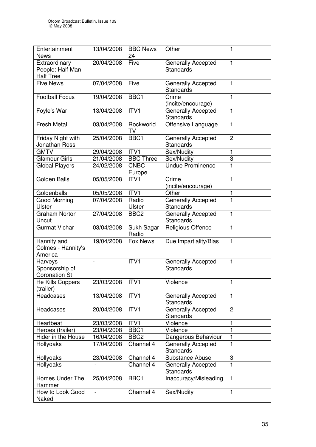| Entertainment<br><b>News</b>                          | 13/04/2008     | <b>BBC News</b><br>24 | Other                                         | 1              |
|-------------------------------------------------------|----------------|-----------------------|-----------------------------------------------|----------------|
| Extraordinary<br>People: Half Man<br><b>Half Tree</b> | 20/04/2008     | Five                  | <b>Generally Accepted</b><br><b>Standards</b> | 1              |
| <b>Five News</b>                                      | 07/04/2008     | Five                  | <b>Generally Accepted</b><br>Standards        | 1              |
| <b>Football Focus</b>                                 | 19/04/2008     | BBC <sub>1</sub>      | Crime<br>(incite/encourage)                   | 1              |
| Foyle's War                                           | 13/04/2008     | ITV1                  | <b>Generally Accepted</b><br><b>Standards</b> | 1              |
| <b>Fresh Metal</b>                                    | 03/04/2008     | Rockworld<br>TV       | Offensive Language                            | 1              |
| Friday Night with<br>Jonathan Ross                    | 25/04/2008     | BBC1                  | Generally Accepted<br><b>Standards</b>        | $\overline{2}$ |
| <b>GMTV</b>                                           | 29/04/2008     | ITV1                  | Sex/Nudity                                    | 1              |
| Glamour Girls                                         | 21/04/2008     | <b>BBC Three</b>      | Sex/Nudity                                    | 3              |
| <b>Global Players</b>                                 | 24/02/2008     | <b>CNBC</b><br>Europe | <b>Undue Prominence</b>                       | $\mathbf{1}$   |
| <b>Golden Balls</b>                                   | 05/05/2008     | ITV <sub>1</sub>      | Crime<br>(incite/encourage)                   | $\mathbf{1}$   |
| Goldenballs                                           | 05/05/2008     | ITV1                  | Other                                         | 1              |
| Good Morning<br><b>Ulster</b>                         | 07/04/2008     | Radio<br>Ulster       | Generally Accepted<br><b>Standards</b>        | 1              |
| <b>Graham Norton</b><br>Uncut                         | 27/04/2008     | BBC <sub>2</sub>      | Generally Accepted<br>Standards               | 1              |
| <b>Gurmat Vichar</b>                                  | 03/04/2008     | Sukh Sagar<br>Radio   | Religious Offence                             | 1              |
| Hannity and<br>Colmes - Hannity's<br>America          | 19/04/2008     | Fox News              | Due Impartiality/Bias                         | 1              |
| Harveys<br>Sponsorship of<br><b>Coronation St</b>     |                | ITV1                  | <b>Generally Accepted</b><br><b>Standards</b> | 1              |
| He Kills Coppers<br>(trailer)                         | 23/03/2008     | ITV1                  | Violence                                      | 1              |
| Headcases                                             | 13/04/2008     | ITV1                  | <b>Generally Accepted</b><br><b>Standards</b> | 1              |
| Headcases                                             | 20/04/2008     | ITV <sub>1</sub>      | Generally Accepted<br>Standards               | $\overline{2}$ |
| Heartbeat                                             | 23/03/2008     | ITV1                  | Violence                                      | 1              |
| Heroes (trailer)                                      | 23/04/2008     | BBC1                  | Violence                                      | 1              |
| Hider in the House                                    | 16/04/2008     | BBC <sub>2</sub>      | Dangerous Behaviour                           | $\mathbf{1}$   |
| Hollyoaks                                             | 17/04/2008     | Channel 4             | Generally Accepted<br>Standards               | $\mathbf{1}$   |
| Hollyoaks                                             | 23/04/2008     | Channel 4             | Substance Abuse                               | 3              |
| Hollyoaks                                             |                | Channel 4             | <b>Generally Accepted</b><br><b>Standards</b> | 1              |
| Homes Under The<br>Hammer                             | 25/04/2008     | BBC1                  | Inaccuracy/Misleading                         | $\mathbf{1}$   |
| How to Look Good<br>Naked                             | $\blacksquare$ | Channel 4             | Sex/Nudity                                    | 1              |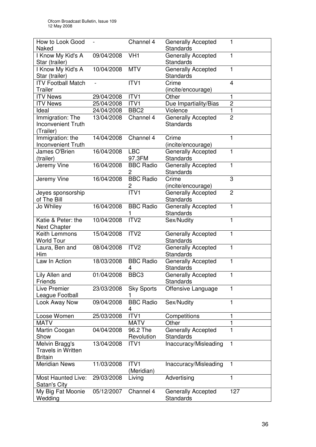| How to Look Good                                              |               | Channel 4              | <b>Generally Accepted</b>                     | 1              |
|---------------------------------------------------------------|---------------|------------------------|-----------------------------------------------|----------------|
| Naked                                                         |               |                        | Standards                                     |                |
| I Know My Kid's A<br>Star (trailer)                           | 09/04/2008    | VH <sub>1</sub>        | Generally Accepted<br><b>Standards</b>        | 1              |
| I Know My Kid's A<br>Star (trailer)                           | 10/04/2008    | <b>MTV</b>             | Generally Accepted<br>Standards               | 1              |
| <b>ITV Football Match</b><br><b>Trailer</b>                   | $\frac{1}{2}$ | ITV1                   | Crime<br>(incite/encourage)                   | $\overline{4}$ |
| <b>ITV News</b>                                               | 29/04/2008    | ITV1                   | Other                                         | 1              |
| <b>ITV News</b>                                               | 25/04/2008    | ITV1                   | Due Impartiality/Bias                         | $\overline{2}$ |
| Ideal                                                         | 24/04/2008    | BBC <sub>2</sub>       | Violence                                      | $\mathbf{1}$   |
| Immigration: The                                              | 13/04/2008    | Channel 4              | Generally Accepted                            | $\overline{2}$ |
| <b>Inconvenient Truth</b><br>(Trailer)                        |               |                        | <b>Standards</b>                              |                |
| Immigration: the<br><b>Inconvenient Truth</b>                 | 14/04/2008    | Channel 4              | Crime<br>(incite/encourage)                   | 1              |
| James O'Brien<br>(trailer)                                    | 16/04/2008    | <b>LBC</b><br>97.3FM   | <b>Generally Accepted</b><br><b>Standards</b> | 1              |
| Jeremy Vine                                                   | 16/04/2008    | <b>BBC Radio</b><br>2  | Generally Accepted<br>Standards               | 1              |
| Jeremy Vine                                                   | 16/04/2008    | <b>BBC Radio</b><br>2  | Crime<br>(incite/encourage)                   | 3              |
| Jeyes sponsorship<br>of The Bill                              |               | ITV <sub>1</sub>       | Generally Accepted<br><b>Standards</b>        | $\overline{2}$ |
| Jo Whiley                                                     | 16/04/2008    | <b>BBC Radio</b>       | <b>Generally Accepted</b><br><b>Standards</b> | 1              |
| Katie & Peter: the<br><b>Next Chapter</b>                     | 10/04/2008    | ITV <sub>2</sub>       | Sex/Nudity                                    | 1              |
| Keith Lemmons<br><b>World Tour</b>                            | 15/04/2008    | ITV <sub>2</sub>       | Generally Accepted<br>Standards               | 1              |
| Laura, Ben and<br>Him                                         | 08/04/2008    | ITV <sub>2</sub>       | <b>Generally Accepted</b><br>Standards        | 1              |
| Law In Action                                                 | 18/03/2008    | <b>BBC Radio</b><br>4  | Generally Accepted<br>Standards               | 1              |
| Lily Allen and<br>Friends                                     | 01/04/2008    | BBC <sub>3</sub>       | Generally Accepted<br><b>Standards</b>        | 1              |
| <b>Live Premier</b><br>League Football                        | 23/03/2008    | <b>Sky Sports</b><br>1 | Offensive Language                            | 1              |
| Look Away Now                                                 | 09/04/2008    | <b>BBC Radio</b><br>4  | Sex/Nudity                                    | 1              |
| Loose Women                                                   | 25/03/2008    | ITV1                   | Competitions                                  | 1              |
| <b>MATV</b>                                                   |               | <b>MATV</b>            | Other                                         | 1              |
| Martin Coogan                                                 | 04/04/2008    | 96.2 The               | <b>Generally Accepted</b>                     | 1              |
| Show                                                          |               | Revolution             | Standards                                     |                |
| Melvin Bragg's<br><b>Travels in Written</b><br><b>Britain</b> | 13/04/2008    | ITV <sub>1</sub>       | Inaccuracy/Misleading                         | 1              |
| <b>Meridian News</b>                                          | 11/03/2008    | ITV1<br>(Meridian)     | Inaccuracy/Misleading                         | 1              |
| <b>Most Haunted Live:</b><br>Satan's City                     | 29/03/2008    | Living                 | Advertising                                   | 1              |
| My Big Fat Moonie<br>Wedding                                  | 05/12/2007    | Channel 4              | <b>Generally Accepted</b><br>Standards        | 127            |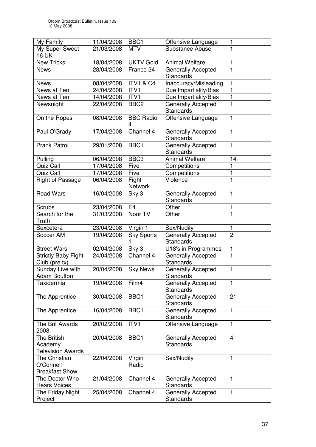| My Family                                           | 11/04/2008               | BBC1                    | Offensive Language                            | 1              |
|-----------------------------------------------------|--------------------------|-------------------------|-----------------------------------------------|----------------|
| My Super Sweet                                      | 21/03/2008               | <b>MTV</b>              | Substance Abuse                               | 1              |
| 16 UK<br><b>New Tricks</b>                          |                          | <b>UKTV Gold</b>        | <b>Animal Welfare</b>                         |                |
|                                                     | 18/04/2008<br>28/04/2008 | France 24               |                                               | 1<br>1         |
| <b>News</b>                                         |                          |                         | <b>Generally Accepted</b><br><b>Standards</b> |                |
| <b>News</b>                                         | 08/04/2008               | <b>ITV1 &amp; C4</b>    | Inaccuracy/Misleading                         | 1              |
| News at Ten                                         | 24/04/2008               | ITV1                    | Due Impartiality/Bias                         | 1              |
| News at Ten                                         | 14/04/2008               | ITV1                    | Due Impartiality/Bias                         | 1              |
| Newsnight                                           | 22/04/2008               | BBC <sub>2</sub>        | <b>Generally Accepted</b><br>Standards        | 1              |
| On the Ropes                                        | 08/04/2008               | <b>BBC Radio</b><br>4   | Offensive Language                            | 1              |
| Paul O'Grady                                        | 17/04/2008               | Channel 4               | <b>Generally Accepted</b><br>Standards        | 1              |
| <b>Prank Patrol</b>                                 | 29/01/2008               | BBC1                    | Generally Accepted<br>Standards               | 1              |
| Pulling                                             | 06/04/2008               | BBC <sub>3</sub>        | <b>Animal Welfare</b>                         | 14             |
| Quiz Call                                           | 17/04/2008               | Five                    | Competitions                                  | 1              |
| Quiz Call                                           | 17/04/2008               | Five                    | Competitions                                  | 1              |
| <b>Right of Passage</b>                             | 06/04/2008               | Fight<br><b>Network</b> | Violence                                      | $\overline{1}$ |
| <b>Road Wars</b>                                    | 16/04/2008               | Sky 3                   | Generally Accepted<br>Standards               | 1              |
| <b>Scrubs</b>                                       | 23/04/2008               | E <sub>4</sub>          | Other                                         | 1              |
| Search for the<br>Truth                             | 31/03/2008               | Noor TV                 | Other                                         | 1              |
| Sexcetera                                           | 23/04/2008               | Virgin 1                | Sex/Nudity                                    | 1              |
| Soccer AM                                           | 19/04/2008               | <b>Sky Sports</b><br>1  | <b>Generally Accepted</b><br>Standards        | $\overline{2}$ |
| <b>Street Wars</b>                                  | 02/04/2008               | Sky 3                   | U18's in Programmes                           | 1              |
| <b>Strictly Baby Fight</b><br>Club (pre tx)         | 24/04/2008               | Channel 4               | <b>Generally Accepted</b><br>Standards        | $\mathbf{1}$   |
| Sunday Live with<br><b>Adam Boulton</b>             | 20/04/2008               | <b>Sky News</b>         | <b>Generally Accepted</b><br>Standards        | 1              |
| Taxidermia                                          | 19/04/2008               | Film4                   | <b>Generally Accepted</b><br><b>Standards</b> | 1              |
| The Apprentice                                      | 30/04/2008               | BBC1                    | <b>Generally Accepted</b><br><b>Standards</b> | 21             |
| The Apprentice                                      | 16/04/2008               | BBC1                    | Generally Accepted<br>Standards               | $\mathbf{1}$   |
| The Brit Awards<br>2008                             | 20/02/2008               | ITV1                    | Offensive Language                            | 1              |
| The British<br>Academy<br><b>Television Awards</b>  | 20/04/2008               | BBC1                    | <b>Generally Accepted</b><br>Standards        | 4              |
| The Christian<br>O'Connell<br><b>Breakfast Show</b> | 22/04/2008               | Virgin<br>Radio         | Sex/Nudity                                    | 1              |
| The Doctor Who<br><b>Hears Voices</b>               | 21/04/2008               | Channel 4               | <b>Generally Accepted</b><br>Standards        | 1              |
| The Friday Night<br>Project                         | 25/04/2008               | Channel 4               | <b>Generally Accepted</b><br>Standards        | 1              |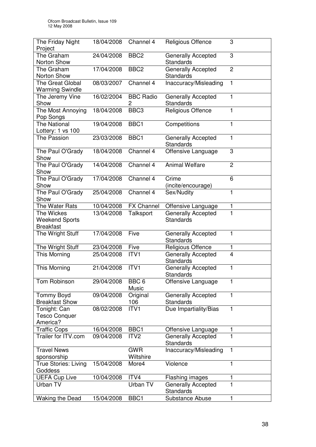| The Friday Night<br>Project                             | 18/04/2008 | Channel 4                 | Religious Offence                             | 3              |
|---------------------------------------------------------|------------|---------------------------|-----------------------------------------------|----------------|
| The Graham<br>Norton Show                               | 24/04/2008 | BBC <sub>2</sub>          | Generally Accepted<br><b>Standards</b>        | 3              |
| The Graham<br>Norton Show                               | 17/04/2008 | BBC <sub>2</sub>          | Generally Accepted<br><b>Standards</b>        | $\overline{2}$ |
| <b>The Great Global</b><br><b>Warming Swindle</b>       | 08/03/2007 | Channel 4                 | Inaccuracy/Misleading                         | 1              |
| The Jeremy Vine<br>Show                                 | 16/02/2004 | <b>BBC Radio</b><br>2     | Generally Accepted<br>Standards               | 1              |
| The Most Annoying<br>Pop Songs                          | 18/04/2008 | BBC <sub>3</sub>          | Religious Offence                             | $\mathbf{1}$   |
| <b>The National</b><br>Lottery: 1 vs 100                | 19/04/2008 | BBC1                      | Competitions                                  | 1              |
| <b>The Passion</b>                                      | 23/03/2008 | BBC1                      | <b>Generally Accepted</b><br><b>Standards</b> | 1              |
| The Paul O'Grady<br>Show                                | 18/04/2008 | Channel 4                 | Offensive Language                            | 3              |
| The Paul O'Grady<br>Show                                | 14/04/2008 | Channel 4                 | <b>Animal Welfare</b>                         | $\overline{2}$ |
| The Paul O'Grady<br>Show                                | 17/04/2008 | Channel 4                 | Crime<br>(incite/encourage)                   | 6              |
| The Paul O'Grady<br>Show                                | 25/04/2008 | Channel 4                 | Sex/Nudity                                    | 1              |
| The Water Rats                                          | 10/04/2008 | <b>FX Channel</b>         | Offensive Language                            | 1              |
| The Wickes<br><b>Weekend Sports</b><br><b>Breakfast</b> | 13/04/2008 | Talksport                 | <b>Generally Accepted</b><br><b>Standards</b> | 1              |
| The Wright Stuff                                        | 17/04/2008 | Five                      | Generally Accepted<br><b>Standards</b>        | 1              |
| The Wright Stuff                                        | 23/04/2008 | Five                      | Religious Offence                             | 1              |
| This Morning                                            | 25/04/2008 | ITV1                      | <b>Generally Accepted</b><br><b>Standards</b> | 4              |
| This Morning                                            | 21/04/2008 | ITV1                      | <b>Generally Accepted</b><br><b>Standards</b> | 1              |
| Tom Robinson                                            | 29/04/2008 | BBC <sub>6</sub><br>Music | Offensive Language                            | 1              |
| <b>Tommy Boyd</b><br><b>Breakfast Show</b>              | 09/04/2008 | Original<br>106           | <b>Generally Accepted</b><br><b>Standards</b> | 1              |
| Tonight: Can<br><b>Tesco Conquer</b><br>America?        | 08/02/2008 | ITV1                      | Due Impartiality/Bias                         | 1              |
| <b>Traffic Cops</b>                                     | 16/04/2008 | BBC <sub>1</sub>          | Offensive Language                            | 1              |
| Trailer for ITV.com                                     | 09/04/2008 | ITV <sub>2</sub>          | Generally Accepted<br><b>Standards</b>        | $\mathbf{1}$   |
| <b>Travel News</b>                                      |            | <b>GWR</b>                | Inaccuracy/Misleading                         | 1              |
| sponsorship                                             |            | Wiltshire                 |                                               |                |
| True Stories: Living<br>Goddess                         | 15/04/2008 | More4                     | Violence                                      | 1              |
| <b>UEFA Cup Live</b>                                    | 10/04/2008 | ITV4                      | Flashing images                               | 1              |
| Urban TV                                                |            | Urban TV                  | Generally Accepted<br>Standards               | 1              |
| <b>Waking the Dead</b>                                  | 15/04/2008 | BBC1                      | Substance Abuse                               | $\mathbf{1}$   |